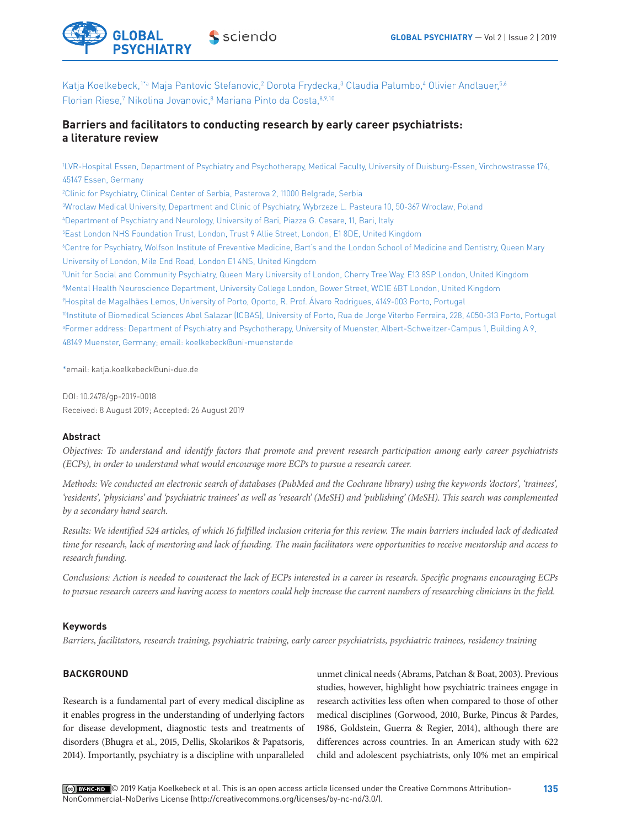

Katja Koelkebeck, 1\*ª Maja Pantovic Stefanovic,? Dorota Frydecka,<sup>3</sup> Claudia Palumbo,4 Olivier Andlauer,<sup>5,6</sup> Florian Riese,<sup>7</sup> Nikolina Jovanovic,<sup>8</sup> Mariana Pinto da Costa, 8,9,10

# **Barriers and facilitators to conducting research by early career psychiatrists: a literature review**

1 LVR-Hospital Essen, Department of Psychiatry and Psychotherapy, Medical Faculty, University of Duisburg-Essen, Virchowstrasse 174, 45147 Essen, Germany

 Clinic for Psychiatry, Clinical Center of Serbia, Pasterova 2, 11000 Belgrade, Serbia Wroclaw Medical University, Department and Clinic of Psychiatry, Wybrzeze L. Pasteura 10, 50-367 Wroclaw, Poland Department of Psychiatry and Neurology, University of Bari, Piazza G. Cesare, 11, Bari, Italy East London NHS Foundation Trust, London, Trust 9 Allie Street, London, E1 8DE, United Kingdom Centre for Psychiatry, Wolfson Institute of Preventive Medicine, Bart's and the London School of Medicine and Dentistry, Queen Mary University of London, Mile End Road, London E1 4NS, United Kingdom Unit for Social and Community Psychiatry, Queen Mary University of London, Cherry Tree Way, E13 8SP London, United Kingdom Mental Health Neuroscience Department, University College London, Gower Street, WC1E 6BT London, United Kingdom Hospital de Magalhães Lemos, University of Porto, Oporto, R. Prof. Álvaro Rodrigues, 4149-003 Porto, Portugal 10Institute of Biomedical Sciences Abel Salazar (ICBAS), University of Porto, Rua de Jorge Viterbo Ferreira, 228, 4050-313 Porto, Portugal a Former address: Department of Psychiatry and Psychotherapy, University of Muenster, Albert-Schweitzer-Campus 1, Building A 9, 48149 Muenster, Germany; email: koelkebeck@uni-muenster.de

\*email: katja.koelkebeck@uni-due.de

DOI: 10.2478/gp-2019-0018 Received: 8 August 2019; Accepted: 26 August 2019

### **Abstract**

*Objectives: To understand and identify factors that promote and prevent research participation among early career psychiatrists (ECPs), in order to understand what would encourage more ECPs to pursue a research career.* 

*Methods: We conducted an electronic search of databases (PubMed and the Cochrane library) using the keywords 'doctors', 'trainees', 'residents', 'physicians' and 'psychiatric trainees' as well as 'research' (MeSH) and 'publishing' (MeSH). This search was complemented by a secondary hand search.*

*Results: We identified 524 articles, of which 16 fulfilled inclusion criteria for this review. The main barriers included lack of dedicated time for research, lack of mentoring and lack of funding. The main facilitators were opportunities to receive mentorship and access to research funding.*

*Conclusions: Action is needed to counteract the lack of ECPs interested in a career in research. Specific programs encouraging ECPs to pursue research careers and having access to mentors could help increase the current numbers of researching clinicians in the field.*

### **Keywords**

*Barriers, facilitators, research training, psychiatric training, early career psychiatrists, psychiatric trainees, residency training*

# **BACKGROUND**

Research is a fundamental part of every medical discipline as it enables progress in the understanding of underlying factors for disease development, diagnostic tests and treatments of disorders (Bhugra et al., 2015, Dellis, Skolarikos & Papatsoris, 2014). Importantly, psychiatry is a discipline with unparalleled

unmet clinical needs (Abrams, Patchan & Boat, 2003). Previous studies, however, highlight how psychiatric trainees engage in research activities less often when compared to those of other medical disciplines (Gorwood, 2010, Burke, Pincus & Pardes, 1986, Goldstein, Guerra & Regier, 2014), although there are differences across countries. In an American study with 622 child and adolescent psychiatrists, only 10% met an empirical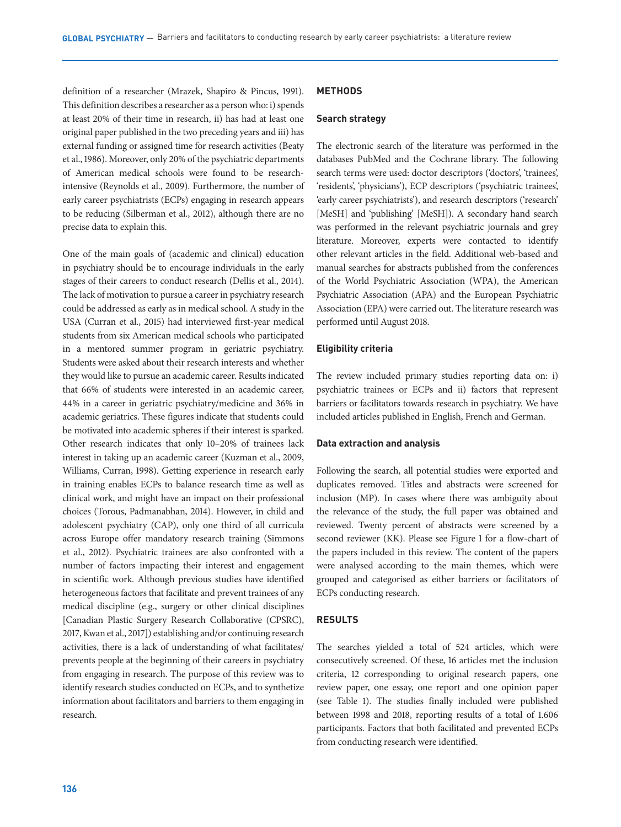definition of a researcher (Mrazek, Shapiro & Pincus, 1991). This definition describes a researcher as a person who: i) spends at least 20% of their time in research, ii) has had at least one original paper published in the two preceding years and iii) has external funding or assigned time for research activities (Beaty et al., 1986). Moreover, only 20% of the psychiatric departments of American medical schools were found to be researchintensive (Reynolds et al., 2009). Furthermore, the number of early career psychiatrists (ECPs) engaging in research appears to be reducing (Silberman et al., 2012), although there are no precise data to explain this.

One of the main goals of (academic and clinical) education in psychiatry should be to encourage individuals in the early stages of their careers to conduct research (Dellis et al., 2014). The lack of motivation to pursue a career in psychiatry research could be addressed as early as in medical school. A study in the USA (Curran et al., 2015) had interviewed first-year medical students from six American medical schools who participated in a mentored summer program in geriatric psychiatry. Students were asked about their research interests and whether they would like to pursue an academic career. Results indicated that 66% of students were interested in an academic career, 44% in a career in geriatric psychiatry/medicine and 36% in academic geriatrics. These figures indicate that students could be motivated into academic spheres if their interest is sparked. Other research indicates that only 10–20% of trainees lack interest in taking up an academic career (Kuzman et al., 2009, Williams, Curran, 1998). Getting experience in research early in training enables ECPs to balance research time as well as clinical work, and might have an impact on their professional choices (Torous, Padmanabhan, 2014). However, in child and adolescent psychiatry (CAP), only one third of all curricula across Europe offer mandatory research training (Simmons et al., 2012). Psychiatric trainees are also confronted with a number of factors impacting their interest and engagement in scientific work. Although previous studies have identified heterogeneous factors that facilitate and prevent trainees of any medical discipline (e.g., surgery or other clinical disciplines [Canadian Plastic Surgery Research Collaborative (CPSRC), 2017, Kwan et al., 2017]) establishing and/or continuing research activities, there is a lack of understanding of what facilitates/ prevents people at the beginning of their careers in psychiatry from engaging in research. The purpose of this review was to identify research studies conducted on ECPs, and to synthetize information about facilitators and barriers to them engaging in research.

## **METHODS**

### **Search strategy**

The electronic search of the literature was performed in the databases PubMed and the Cochrane library. The following search terms were used: doctor descriptors ('doctors', 'trainees', 'residents', 'physicians'), ECP descriptors ('psychiatric trainees', 'early career psychiatrists'), and research descriptors ('research' [MeSH] and 'publishing' [MeSH]). A secondary hand search was performed in the relevant psychiatric journals and grey literature. Moreover, experts were contacted to identify other relevant articles in the field. Additional web-based and manual searches for abstracts published from the conferences of the World Psychiatric Association (WPA), the American Psychiatric Association (APA) and the European Psychiatric Association (EPA) were carried out. The literature research was performed until August 2018.

#### **Eligibility criteria**

The review included primary studies reporting data on: i) psychiatric trainees or ECPs and ii) factors that represent barriers or facilitators towards research in psychiatry. We have included articles published in English, French and German.

#### **Data extraction and analysis**

Following the search, all potential studies were exported and duplicates removed. Titles and abstracts were screened for inclusion (MP). In cases where there was ambiguity about the relevance of the study, the full paper was obtained and reviewed. Twenty percent of abstracts were screened by a second reviewer (KK). Please see Figure 1 for a flow-chart of the papers included in this review. The content of the papers were analysed according to the main themes, which were grouped and categorised as either barriers or facilitators of ECPs conducting research.

## **RESULTS**

The searches yielded a total of 524 articles, which were consecutively screened. Of these, 16 articles met the inclusion criteria, 12 corresponding to original research papers, one review paper, one essay, one report and one opinion paper (see Table 1). The studies finally included were published between 1998 and 2018, reporting results of a total of 1.606 participants. Factors that both facilitated and prevented ECPs from conducting research were identified.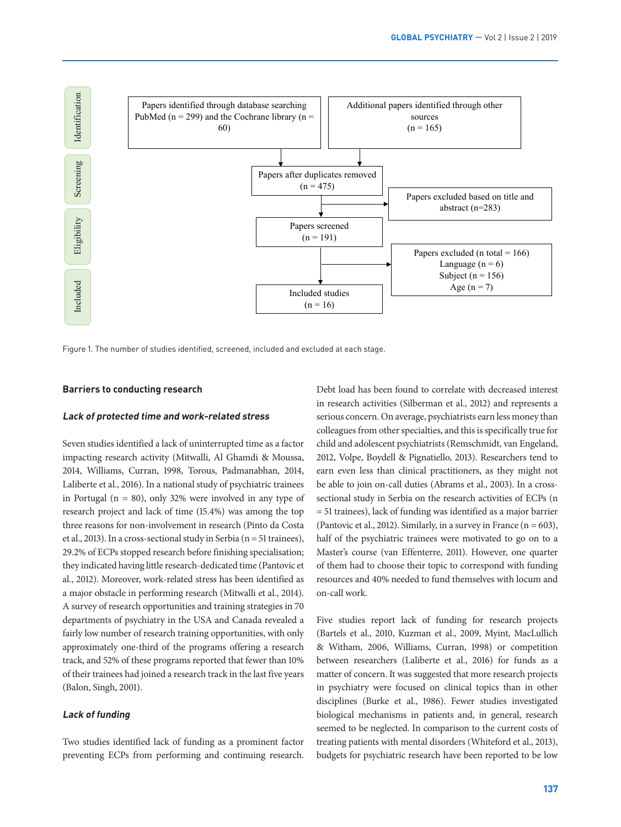

Figure 1. The number of studies identified, screened, included and excluded at each stage.

## **Barriers to conducting research**

### **Lack of protected time and work-related stress**

Seven studies identified a lack of uninterrupted time as a factor impacting research activity (Mitwalli, Al Ghamdi & Moussa, 2014, Williams, Curran, 1998, Torous, Padmanabhan, 2014, Laliberte et al., 2016). In a national study of psychiatric trainees in Portugal (n = 80), only 32% were involved in any type of research project and lack of time (15.4%) was among the top three reasons for non-involvement in research (Pinto da Costa et al., 2013). In a cross-sectional study in Serbia (n = 51 trainees), 29.2% of ECPs stopped research before finishing specialisation; they indicated having little research-dedicated time (Pantovic et al., 2012). Moreover, work-related stress has been identified as a major obstacle in performing research (Mitwalli et al., 2014). A survey of research opportunities and training strategies in 70 departments of psychiatry in the USA and Canada revealed a fairly low number of research training opportunities, with only approximately one-third of the programs offering a research track, and 52% of these programs reported that fewer than 10% of their trainees had joined a research track in the last five years (Balon, Singh, 2001).

## **Lack of funding**

Two studies identified lack of funding as a prominent factor preventing ECPs from performing and continuing research.

Debt load has been found to correlate with decreased interest **Figure 1 Figure 1 Figure 1**. The number of studies in research activities (Silberman et al., 2012) and represents a serious concern. On average, psychiatrists earn less money than colleagues from other specialties, and this is specifically true for child and adolescent psychiatrists (Remschmidt, van Engeland, 2012, Volpe, Boydell & Pignatiello, 2013). Researchers tend to earn even less than clinical practitioners, as they might not be able to join on-call duties (Abrams et al., 2003). In a crosssectional study in Serbia on the research activities of ECPs (n = 51 trainees), lack of funding was identified as a major barrier (Pantovic et al., 2012). Similarly, in a survey in France  $(n = 603)$ , half of the psychiatric trainees were motivated to go on to a Master's course (van Effenterre, 2011). However, one quarter of them had to choose their topic to correspond with funding resources and 40% needed to fund themselves with locum and on-call work.

> Five studies report lack of funding for research projects (Bartels et al., 2010, Kuzman et al., 2009, Myint, MacLullich & Witham, 2006, Williams, Curran, 1998) or competition between researchers (Laliberte et al., 2016) for funds as a matter of concern. It was suggested that more research projects in psychiatry were focused on clinical topics than in other disciplines (Burke et al., 1986). Fewer studies investigated biological mechanisms in patients and, in general, research seemed to be neglected. In comparison to the current costs of treating patients with mental disorders (Whiteford et al., 2013), budgets for psychiatric research have been reported to be low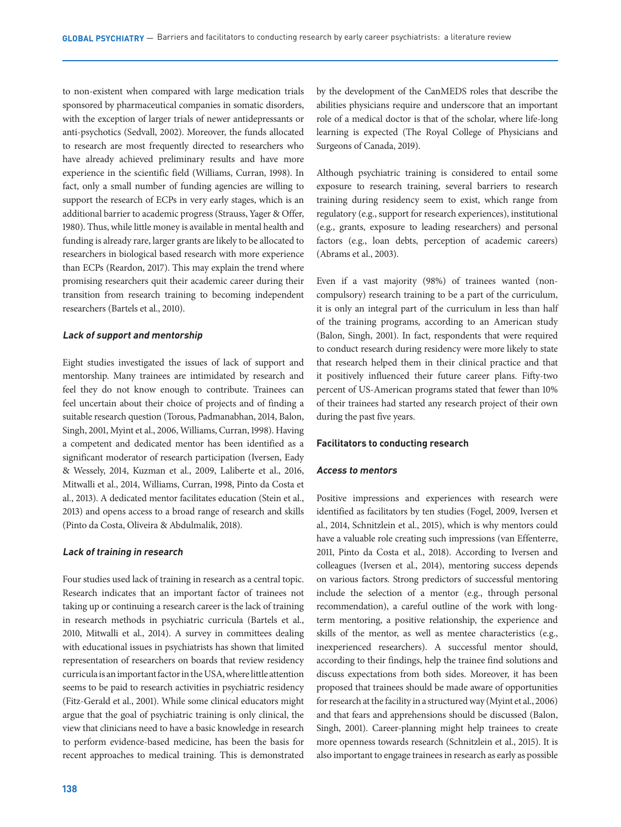to non-existent when compared with large medication trials sponsored by pharmaceutical companies in somatic disorders, with the exception of larger trials of newer antidepressants or anti-psychotics (Sedvall, 2002). Moreover, the funds allocated to research are most frequently directed to researchers who have already achieved preliminary results and have more experience in the scientific field (Williams, Curran, 1998). In fact, only a small number of funding agencies are willing to support the research of ECPs in very early stages, which is an additional barrier to academic progress (Strauss, Yager & Offer, 1980). Thus, while little money is available in mental health and funding is already rare, larger grants are likely to be allocated to researchers in biological based research with more experience than ECPs (Reardon, 2017). This may explain the trend where promising researchers quit their academic career during their transition from research training to becoming independent researchers (Bartels et al., 2010).

#### **Lack of support and mentorship**

Eight studies investigated the issues of lack of support and mentorship. Many trainees are intimidated by research and feel they do not know enough to contribute. Trainees can feel uncertain about their choice of projects and of finding a suitable research question (Torous, Padmanabhan, 2014, Balon, Singh, 2001, Myint et al., 2006, Williams, Curran, 1998). Having a competent and dedicated mentor has been identified as a significant moderator of research participation (Iversen, Eady & Wessely, 2014, Kuzman et al., 2009, Laliberte et al., 2016, Mitwalli et al., 2014, Williams, Curran, 1998, Pinto da Costa et al., 2013). A dedicated mentor facilitates education (Stein et al., 2013) and opens access to a broad range of research and skills (Pinto da Costa, Oliveira & Abdulmalik, 2018).

### **Lack of training in research**

Four studies used lack of training in research as a central topic. Research indicates that an important factor of trainees not taking up or continuing a research career is the lack of training in research methods in psychiatric curricula (Bartels et al., 2010, Mitwalli et al., 2014). A survey in committees dealing with educational issues in psychiatrists has shown that limited representation of researchers on boards that review residency curricula is an important factor in the USA, where little attention seems to be paid to research activities in psychiatric residency (Fitz-Gerald et al., 2001). While some clinical educators might argue that the goal of psychiatric training is only clinical, the view that clinicians need to have a basic knowledge in research to perform evidence-based medicine, has been the basis for recent approaches to medical training. This is demonstrated by the development of the CanMEDS roles that describe the abilities physicians require and underscore that an important role of a medical doctor is that of the scholar, where life-long learning is expected (The Royal College of Physicians and Surgeons of Canada, 2019).

Although psychiatric training is considered to entail some exposure to research training, several barriers to research training during residency seem to exist, which range from regulatory (e.g., support for research experiences), institutional (e.g., grants, exposure to leading researchers) and personal factors (e.g., loan debts, perception of academic careers) (Abrams et al., 2003).

Even if a vast majority (98%) of trainees wanted (noncompulsory) research training to be a part of the curriculum, it is only an integral part of the curriculum in less than half of the training programs, according to an American study (Balon, Singh, 2001). In fact, respondents that were required to conduct research during residency were more likely to state that research helped them in their clinical practice and that it positively influenced their future career plans. Fifty-two percent of US-American programs stated that fewer than 10% of their trainees had started any research project of their own during the past five years.

#### **Facilitators to conducting research**

#### **Access to mentors**

Positive impressions and experiences with research were identified as facilitators by ten studies (Fogel, 2009, Iversen et al., 2014, Schnitzlein et al., 2015), which is why mentors could have a valuable role creating such impressions (van Effenterre, 2011, Pinto da Costa et al., 2018). According to Iversen and colleagues (Iversen et al., 2014), mentoring success depends on various factors. Strong predictors of successful mentoring include the selection of a mentor (e.g., through personal recommendation), a careful outline of the work with longterm mentoring, a positive relationship, the experience and skills of the mentor, as well as mentee characteristics (e.g., inexperienced researchers). A successful mentor should, according to their findings, help the trainee find solutions and discuss expectations from both sides. Moreover, it has been proposed that trainees should be made aware of opportunities for research at the facility in a structured way (Myint et al., 2006) and that fears and apprehensions should be discussed (Balon, Singh, 2001). Career-planning might help trainees to create more openness towards research (Schnitzlein et al., 2015). It is also important to engage trainees in research as early as possible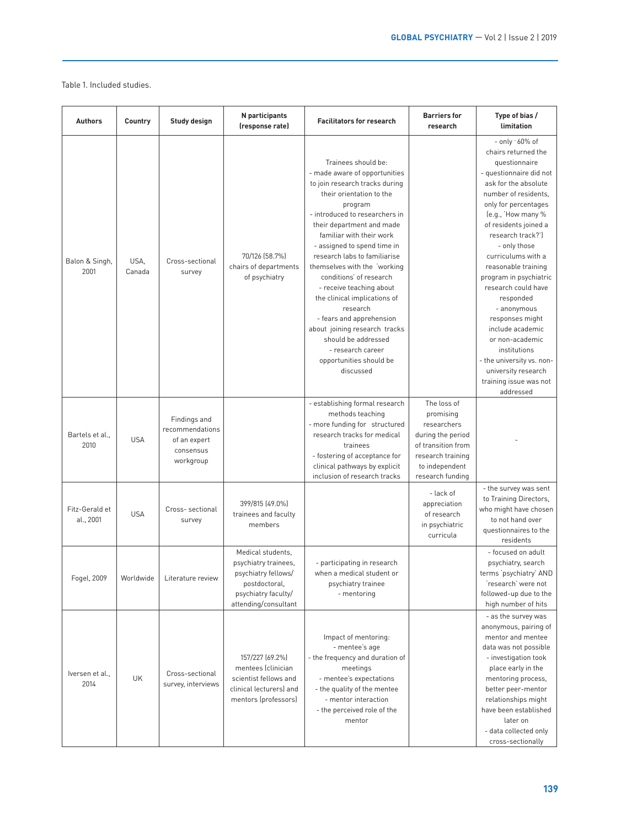### Table 1. Included studies.

| <b>Authors</b>              | Country        | Study design                                                              | N participants<br>(response rate)                                                                                                | <b>Facilitators for research</b>                                                                                                                                                                                                                                                                                                                                                                                                                                                                                                                                            | <b>Barriers for</b><br>research                                                                                                               | Type of bias /<br>limitation                                                                                                                                                                                                                                                                                                                                                                                                                                                                                                                 |
|-----------------------------|----------------|---------------------------------------------------------------------------|----------------------------------------------------------------------------------------------------------------------------------|-----------------------------------------------------------------------------------------------------------------------------------------------------------------------------------------------------------------------------------------------------------------------------------------------------------------------------------------------------------------------------------------------------------------------------------------------------------------------------------------------------------------------------------------------------------------------------|-----------------------------------------------------------------------------------------------------------------------------------------------|----------------------------------------------------------------------------------------------------------------------------------------------------------------------------------------------------------------------------------------------------------------------------------------------------------------------------------------------------------------------------------------------------------------------------------------------------------------------------------------------------------------------------------------------|
| Balon & Singh,<br>2001      | USA,<br>Canada | Cross-sectional<br>survey                                                 | 70/126 (58.7%)<br>chairs of departments<br>of psychiatry                                                                         | Trainees should be:<br>- made aware of opportunities<br>to join research tracks during<br>their orientation to the<br>program<br>- introduced to researchers in<br>their department and made<br>familiar with their work<br>- assigned to spend time in<br>research labs to familiarise<br>themselves with the 'working<br>conditions' of research<br>- receive teaching about<br>the clinical implications of<br>research<br>- fears and apprehension<br>about joining research tracks<br>should be addressed<br>- research career<br>opportunities should be<br>discussed |                                                                                                                                               | - only ~60% of<br>chairs returned the<br>questionnaire<br>- questionnaire did not<br>ask for the absolute<br>number of residents.<br>only for percentages<br>(e.g., 'How many %<br>of residents joined a<br>research track?')<br>- only those<br>curriculums with a<br>reasonable training<br>program in psychiatric<br>research could have<br>responded<br>- anonymous<br>responses might<br>include academic<br>or non-academic<br>institutions<br>- the university vs. non-<br>university research<br>training issue was not<br>addressed |
| Bartels et al.,<br>2010     | <b>USA</b>     | Findings and<br>recommendations<br>of an expert<br>consensus<br>workgroup |                                                                                                                                  | - establishing formal research<br>methods teaching<br>- more funding for structured<br>research tracks for medical<br>trainees<br>- fostering of acceptance for<br>clinical pathways by explicit<br>inclusion of research tracks                                                                                                                                                                                                                                                                                                                                            | The loss of<br>promising<br>researchers<br>during the period<br>of transition from<br>research training<br>to independent<br>research funding |                                                                                                                                                                                                                                                                                                                                                                                                                                                                                                                                              |
| Fitz-Gerald et<br>al., 2001 | <b>USA</b>     | Cross-sectional<br>survey                                                 | 399/815 (49.0%)<br>trainees and faculty<br>members                                                                               |                                                                                                                                                                                                                                                                                                                                                                                                                                                                                                                                                                             | - lack of<br>appreciation<br>of research<br>in psychiatric<br>curricula                                                                       | - the survey was sent<br>to Training Directors,<br>who might have chosen<br>to not hand over<br>questionnaires to the<br>residents                                                                                                                                                                                                                                                                                                                                                                                                           |
| Fogel, 2009                 | Worldwide      | Literature review                                                         | Medical students,<br>psychiatry trainees,<br>psychiatry fellows/<br>postdoctoral,<br>psychiatry faculty/<br>attending/consultant | - participating in research<br>when a medical student or<br>psychiatry trainee<br>- mentoring                                                                                                                                                                                                                                                                                                                                                                                                                                                                               |                                                                                                                                               | - focused on adult<br>psychiatry, search<br>terms 'psychiatry' AND<br>'research' were not<br>followed-up due to the<br>high number of hits                                                                                                                                                                                                                                                                                                                                                                                                   |
| Iversen et al.,<br>2014     | <b>UK</b>      | Cross-sectional<br>survey, interviews                                     | 157/227 (69.2%)<br>mentees (clinician<br>scientist fellows and<br>clinical lecturers) and<br>mentors (professors)                | Impact of mentoring:<br>- mentee's age<br>- the frequency and duration of<br>meetings<br>- mentee's expectations<br>- the quality of the mentee<br>- mentor interaction<br>- the perceived role of the<br>mentor                                                                                                                                                                                                                                                                                                                                                            |                                                                                                                                               | - as the survey was<br>anonymous, pairing of<br>mentor and mentee<br>data was not possible<br>- investigation took<br>place early in the<br>mentoring process,<br>better peer-mentor<br>relationships might<br>have been established<br>later on<br>- data collected only<br>cross-sectionally                                                                                                                                                                                                                                               |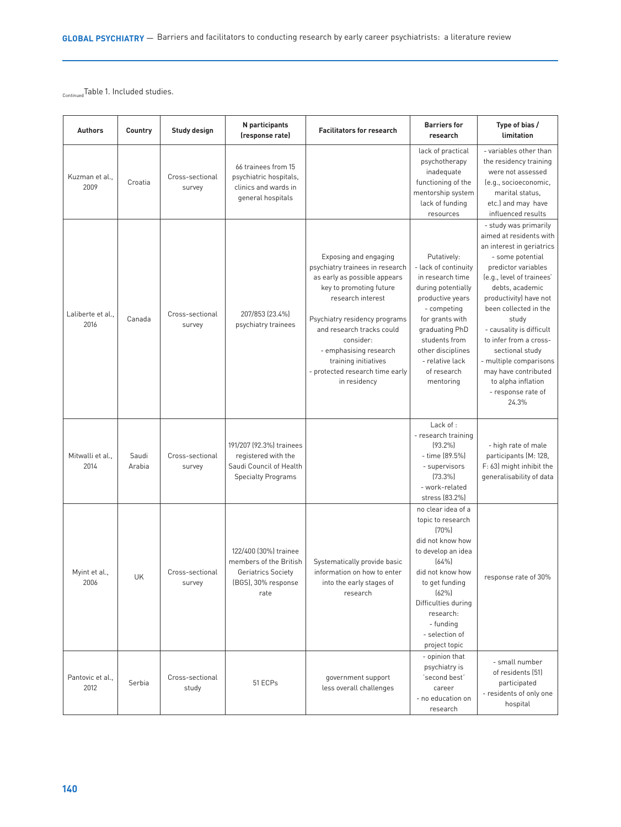ContinuedTable 1. Included studies.

| <b>Authors</b>            | Country         | Study design              | N participants<br>(response rate)                                                                       | <b>Facilitators for research</b>                                                                                                                                                                                                                                                                                         | <b>Barriers for</b><br>research                                                                                                                                                                                                            | Type of bias /<br>limitation                                                                                                                                                                                                                                                                                                                                                                                         |
|---------------------------|-----------------|---------------------------|---------------------------------------------------------------------------------------------------------|--------------------------------------------------------------------------------------------------------------------------------------------------------------------------------------------------------------------------------------------------------------------------------------------------------------------------|--------------------------------------------------------------------------------------------------------------------------------------------------------------------------------------------------------------------------------------------|----------------------------------------------------------------------------------------------------------------------------------------------------------------------------------------------------------------------------------------------------------------------------------------------------------------------------------------------------------------------------------------------------------------------|
| Kuzman et al.,<br>2009    | Croatia         | Cross-sectional<br>survey | 66 trainees from 15<br>psychiatric hospitals,<br>clinics and wards in<br>general hospitals              |                                                                                                                                                                                                                                                                                                                          | lack of practical<br>psychotherapy<br>inadequate<br>functioning of the<br>mentorship system<br>lack of funding<br>resources                                                                                                                | - variables other than<br>the residency training<br>were not assessed<br>(e.g., socioeconomic,<br>marital status.<br>etc.) and may have<br>influenced results                                                                                                                                                                                                                                                        |
| Laliberte et al.,<br>2016 | Canada          | Cross-sectional<br>survey | 207/853 (23.4%)<br>psychiatry trainees                                                                  | Exposing and engaging<br>psychiatry trainees in research<br>as early as possible appears<br>key to promoting future<br>research interest<br>Psychiatry residency programs<br>and research tracks could<br>consider:<br>- emphasising research<br>training initiatives<br>- protected research time early<br>in residency | Putatively:<br>- lack of continuity<br>in research time<br>during potentially<br>productive years<br>- competing<br>for grants with<br>graduating PhD<br>students from<br>other disciplines<br>- relative lack<br>of research<br>mentoring | - study was primarily<br>aimed at residents with<br>an interest in geriatrics<br>- some potential<br>predictor variables<br>(e.g., level of trainees'<br>debts, academic<br>productivity) have not<br>been collected in the<br>study<br>- causality is difficult<br>to infer from a cross-<br>sectional study<br>- multiple comparisons<br>may have contributed<br>to alpha inflation<br>- response rate of<br>24.3% |
| Mitwalli et al.,<br>2014  | Saudi<br>Arabia | Cross-sectional<br>survey | 191/207 (92.3%) trainees<br>registered with the<br>Saudi Council of Health<br><b>Specialty Programs</b> |                                                                                                                                                                                                                                                                                                                          | Lack of :<br>- research training<br>$(93.2\%)$<br>- time (89.5%)<br>- supervisors<br>[73.3%]<br>- work-related<br>stress (83.2%)                                                                                                           | - high rate of male<br>participants (M: 128,<br>F: 63) might inhibit the<br>generalisability of data                                                                                                                                                                                                                                                                                                                 |
| Myint et al.,<br>2006     | UK              | Cross-sectional<br>survey | 122/400 (30%) trainee<br>members of the British<br>Geriatrics Society<br>(BGS), 30% response<br>rate    | Systematically provide basic<br>information on how to enter<br>into the early stages of<br>research                                                                                                                                                                                                                      | no clear idea of a<br>topic to research<br>(70%<br>did not know how<br>to develop an idea<br>(64%)<br>did not know how<br>to get funding<br>(62%)<br>Difficulties during<br>research:<br>- funding<br>- selection of<br>project topic      | response rate of 30%                                                                                                                                                                                                                                                                                                                                                                                                 |
| Pantovic et al.,<br>2012  | Serbia          | Cross-sectional<br>study  | 51 ECPs                                                                                                 | government support<br>less overall challenges                                                                                                                                                                                                                                                                            | - opinion that<br>psychiatry is<br>'second best'<br>career<br>- no education on<br>research                                                                                                                                                | - small number<br>of residents (51)<br>participated<br>- residents of only one<br>hospital                                                                                                                                                                                                                                                                                                                           |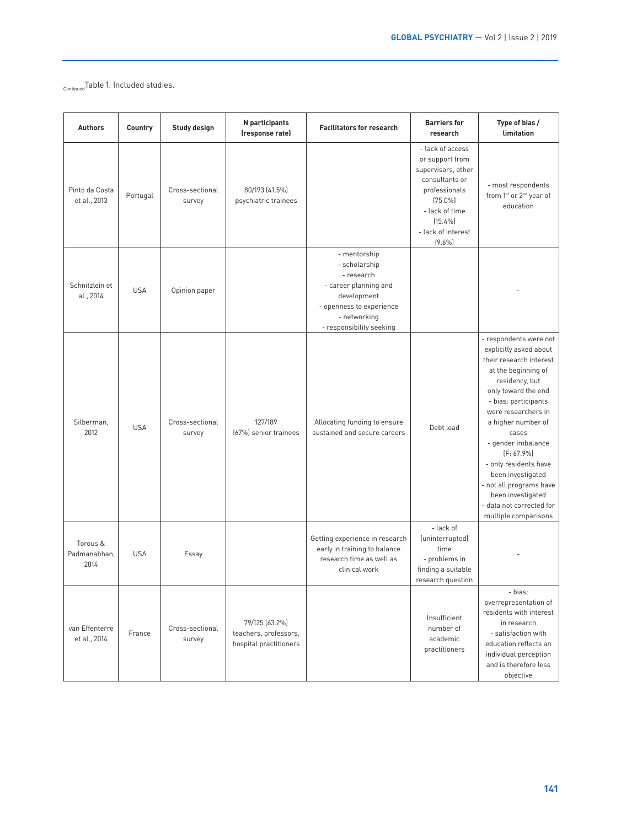ContinuedTable 1. Included studies.

| <b>Authors</b>                   | Country    | Study design              | N participants<br>(response rate)                                 | <b>Facilitators for research</b>                                                                                                                            | <b>Barriers for</b><br>research                                                                                                                                               | Type of bias /<br>limitation                                                                                                                                                                                                                                                                                                                                                                                       |
|----------------------------------|------------|---------------------------|-------------------------------------------------------------------|-------------------------------------------------------------------------------------------------------------------------------------------------------------|-------------------------------------------------------------------------------------------------------------------------------------------------------------------------------|--------------------------------------------------------------------------------------------------------------------------------------------------------------------------------------------------------------------------------------------------------------------------------------------------------------------------------------------------------------------------------------------------------------------|
| Pinto da Costa<br>et al., 2013   | Portugal   | Cross-sectional<br>survey | 80/193 (41.5%)<br>psychiatric trainees                            |                                                                                                                                                             | - lack of access<br>or support from<br>supervisors, other<br>consultants or<br>professionals<br>$(75.0\%)$<br>- lack of time<br>$(15.4\%)$<br>- lack of interest<br>$(9.6\%)$ | - most respondents<br>from 1 <sup>st</sup> or 2 <sup>nd</sup> year of<br>education                                                                                                                                                                                                                                                                                                                                 |
| Schnitzlein et<br>al., 2014      | <b>USA</b> | Opinion paper             |                                                                   | - mentorship<br>- scholarship<br>- research<br>- career planning and<br>development<br>- openness to experience<br>- networking<br>- responsibility seeking |                                                                                                                                                                               |                                                                                                                                                                                                                                                                                                                                                                                                                    |
| Silberman,<br>2012               | <b>USA</b> | Cross-sectional<br>survey | 127/189<br>(67%) senior trainees                                  | Allocating funding to ensure<br>sustained and secure careers                                                                                                | Debt load                                                                                                                                                                     | - respondents were not<br>explicitly asked about<br>their research interest<br>at the beginning of<br>residency, but<br>only toward the end<br>- bias: participants<br>were researchers in<br>a higher number of<br>cases<br>- gender imbalance<br>$[F: 67.9\%]$<br>- only residents have<br>been investigated<br>- not all programs have<br>been investigated<br>- data not corrected for<br>multiple comparisons |
| Torous &<br>Padmanabhan.<br>2014 | <b>USA</b> | Essay                     |                                                                   | Getting experience in research<br>early in training to balance<br>research time as well as<br>clinical work                                                 | - lack of<br>(uninterrupted)<br>time<br>- problems in<br>finding a suitable<br>research question                                                                              |                                                                                                                                                                                                                                                                                                                                                                                                                    |
| van Effenterre<br>et al., 2014   | France     | Cross-sectional<br>survey | 79/125 (63.2%)<br>teachers, professors,<br>hospital practitioners |                                                                                                                                                             | Insufficient<br>number of<br>academic<br>practitioners                                                                                                                        | - bias:<br>overrepresentation of<br>residents with interest<br>in research<br>- satisfaction with<br>education reflects an<br>individual perception<br>and is therefore less<br>objective                                                                                                                                                                                                                          |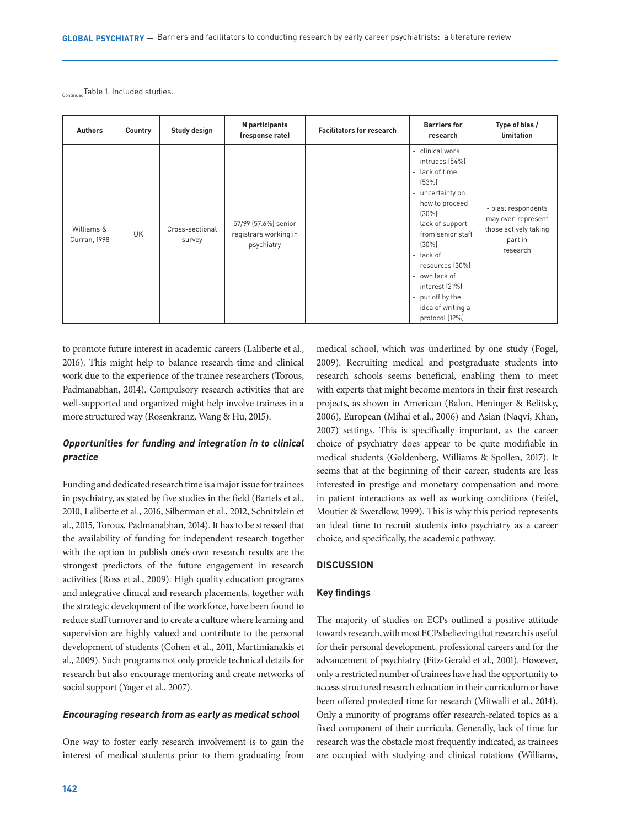Continued Table 1. Included studies.

| <b>Authors</b>                    | Country   | Study design              | N participants<br>(response rate)                           | <b>Facilitators for research</b> | <b>Barriers for</b><br>research                                                                                                                                                                                                                                                                    | Type of bias /<br>limitation                                                              |
|-----------------------------------|-----------|---------------------------|-------------------------------------------------------------|----------------------------------|----------------------------------------------------------------------------------------------------------------------------------------------------------------------------------------------------------------------------------------------------------------------------------------------------|-------------------------------------------------------------------------------------------|
| Williams &<br><b>Curran, 1998</b> | <b>UK</b> | Cross-sectional<br>survey | 57/99 (57.6%) senior<br>registrars working in<br>psychiatry |                                  | - clinical work<br>intrudes (54%)<br>- lack of time<br>(53%)<br>- uncertainty on<br>how to proceed<br>$(30\%)$<br>- lack of support<br>from senior staff<br>$(30\%)$<br>- lack of<br>resources (30%)<br>- own lack of<br>interest (21%)<br>- put off by the<br>idea of writing a<br>protocol (12%) | - bias: respondents<br>may over-represent<br>those actively taking<br>part in<br>research |

to promote future interest in academic careers (Laliberte et al., 2016). This might help to balance research time and clinical work due to the experience of the trainee researchers (Torous, Padmanabhan, 2014). Compulsory research activities that are well-supported and organized might help involve trainees in a more structured way (Rosenkranz, Wang & Hu, 2015).

# **Opportunities for funding and integration in to clinical practice**

Funding and dedicated research time is a major issue for trainees in psychiatry, as stated by five studies in the field (Bartels et al., 2010, Laliberte et al., 2016, Silberman et al., 2012, Schnitzlein et al., 2015, Torous, Padmanabhan, 2014). It has to be stressed that the availability of funding for independent research together with the option to publish one's own research results are the strongest predictors of the future engagement in research activities (Ross et al., 2009). High quality education programs and integrative clinical and research placements, together with the strategic development of the workforce, have been found to reduce staff turnover and to create a culture where learning and supervision are highly valued and contribute to the personal development of students (Cohen et al., 2011, Martimianakis et al., 2009). Such programs not only provide technical details for research but also encourage mentoring and create networks of social support (Yager et al., 2007).

### **Encouraging research from as early as medical school**

One way to foster early research involvement is to gain the interest of medical students prior to them graduating from

medical school, which was underlined by one study (Fogel, 2009). Recruiting medical and postgraduate students into research schools seems beneficial, enabling them to meet with experts that might become mentors in their first research projects, as shown in American (Balon, Heninger & Belitsky, 2006), European (Mihai et al., 2006) and Asian (Naqvi, Khan, 2007) settings. This is specifically important, as the career choice of psychiatry does appear to be quite modifiable in medical students (Goldenberg, Williams & Spollen, 2017). It seems that at the beginning of their career, students are less interested in prestige and monetary compensation and more in patient interactions as well as working conditions (Feifel, Moutier & Swerdlow, 1999). This is why this period represents an ideal time to recruit students into psychiatry as a career choice, and specifically, the academic pathway.

## **DISCUSSION**

## **Key findings**

The majority of studies on ECPs outlined a positive attitude towards research, with most ECPs believing that research is useful for their personal development, professional careers and for the advancement of psychiatry (Fitz-Gerald et al., 2001). However, only a restricted number of trainees have had the opportunity to access structured research education in their curriculum or have been offered protected time for research (Mitwalli et al., 2014). Only a minority of programs offer research-related topics as a fixed component of their curricula. Generally, lack of time for research was the obstacle most frequently indicated, as trainees are occupied with studying and clinical rotations (Williams,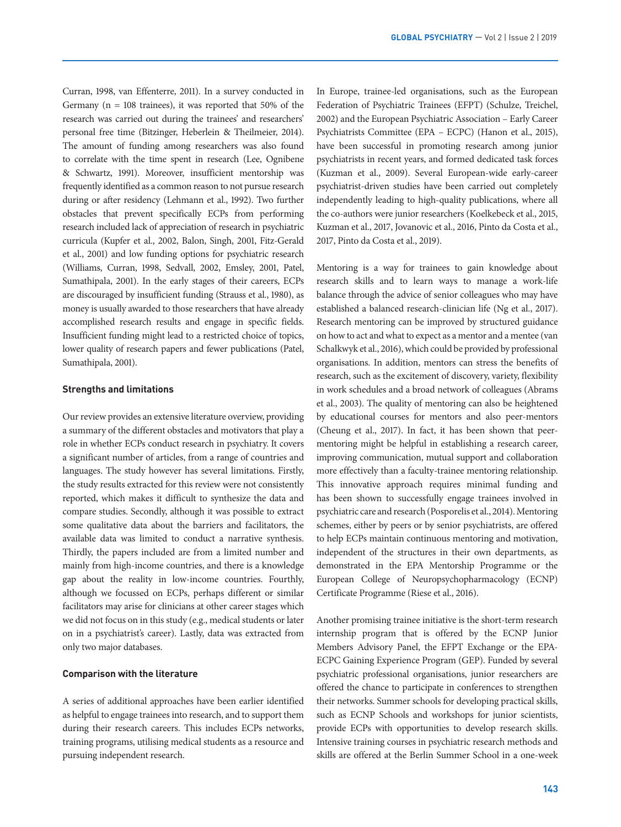Curran, 1998, van Effenterre, 2011). In a survey conducted in Germany ( $n = 108$  trainees), it was reported that 50% of the research was carried out during the trainees' and researchers' personal free time (Bitzinger, Heberlein & Theilmeier, 2014). The amount of funding among researchers was also found to correlate with the time spent in research (Lee, Ognibene & Schwartz, 1991). Moreover, insufficient mentorship was frequently identified as a common reason to not pursue research during or after residency (Lehmann et al., 1992). Two further obstacles that prevent specifically ECPs from performing research included lack of appreciation of research in psychiatric curricula (Kupfer et al., 2002, Balon, Singh, 2001, Fitz-Gerald et al., 2001) and low funding options for psychiatric research (Williams, Curran, 1998, Sedvall, 2002, Emsley, 2001, Patel, Sumathipala, 2001). In the early stages of their careers, ECPs are discouraged by insufficient funding (Strauss et al., 1980), as money is usually awarded to those researchers that have already accomplished research results and engage in specific fields. Insufficient funding might lead to a restricted choice of topics, lower quality of research papers and fewer publications (Patel, Sumathipala, 2001).

## **Strengths and limitations**

Our review provides an extensive literature overview, providing a summary of the different obstacles and motivators that play a role in whether ECPs conduct research in psychiatry. It covers a significant number of articles, from a range of countries and languages. The study however has several limitations. Firstly, the study results extracted for this review were not consistently reported, which makes it difficult to synthesize the data and compare studies. Secondly, although it was possible to extract some qualitative data about the barriers and facilitators, the available data was limited to conduct a narrative synthesis. Thirdly, the papers included are from a limited number and mainly from high-income countries, and there is a knowledge gap about the reality in low-income countries. Fourthly, although we focussed on ECPs, perhaps different or similar facilitators may arise for clinicians at other career stages which we did not focus on in this study (e.g., medical students or later on in a psychiatrist's career). Lastly, data was extracted from only two major databases.

## **Comparison with the literature**

A series of additional approaches have been earlier identified as helpful to engage trainees into research, and to support them during their research careers. This includes ECPs networks, training programs, utilising medical students as a resource and pursuing independent research.

In Europe, trainee-led organisations, such as the European Federation of Psychiatric Trainees (EFPT) (Schulze, Treichel, 2002) and the European Psychiatric Association – Early Career Psychiatrists Committee (EPA – ECPC) (Hanon et al., 2015), have been successful in promoting research among junior psychiatrists in recent years, and formed dedicated task forces (Kuzman et al., 2009). Several European-wide early-career psychiatrist-driven studies have been carried out completely independently leading to high-quality publications, where all the co-authors were junior researchers (Koelkebeck et al., 2015, Kuzman et al., 2017, Jovanovic et al., 2016, Pinto da Costa et al., 2017, Pinto da Costa et al., 2019).

Mentoring is a way for trainees to gain knowledge about research skills and to learn ways to manage a work-life balance through the advice of senior colleagues who may have established a balanced research-clinician life (Ng et al., 2017). Research mentoring can be improved by structured guidance on how to act and what to expect as a mentor and a mentee (van Schalkwyk et al., 2016), which could be provided by professional organisations. In addition, mentors can stress the benefits of research, such as the excitement of discovery, variety, flexibility in work schedules and a broad network of colleagues (Abrams et al., 2003). The quality of mentoring can also be heightened by educational courses for mentors and also peer-mentors (Cheung et al., 2017). In fact, it has been shown that peermentoring might be helpful in establishing a research career, improving communication, mutual support and collaboration more effectively than a faculty-trainee mentoring relationship. This innovative approach requires minimal funding and has been shown to successfully engage trainees involved in psychiatric care and research (Posporelis et al., 2014). Mentoring schemes, either by peers or by senior psychiatrists, are offered to help ECPs maintain continuous mentoring and motivation, independent of the structures in their own departments, as demonstrated in the EPA Mentorship Programme or the European College of Neuropsychopharmacology (ECNP) Certificate Programme (Riese et al., 2016).

Another promising trainee initiative is the short-term research internship program that is offered by the ECNP Junior Members Advisory Panel, the EFPT Exchange or the EPA-ECPC Gaining Experience Program (GEP). Funded by several psychiatric professional organisations, junior researchers are offered the chance to participate in conferences to strengthen their networks. Summer schools for developing practical skills, such as ECNP Schools and workshops for junior scientists, provide ECPs with opportunities to develop research skills. Intensive training courses in psychiatric research methods and skills are offered at the Berlin Summer School in a one-week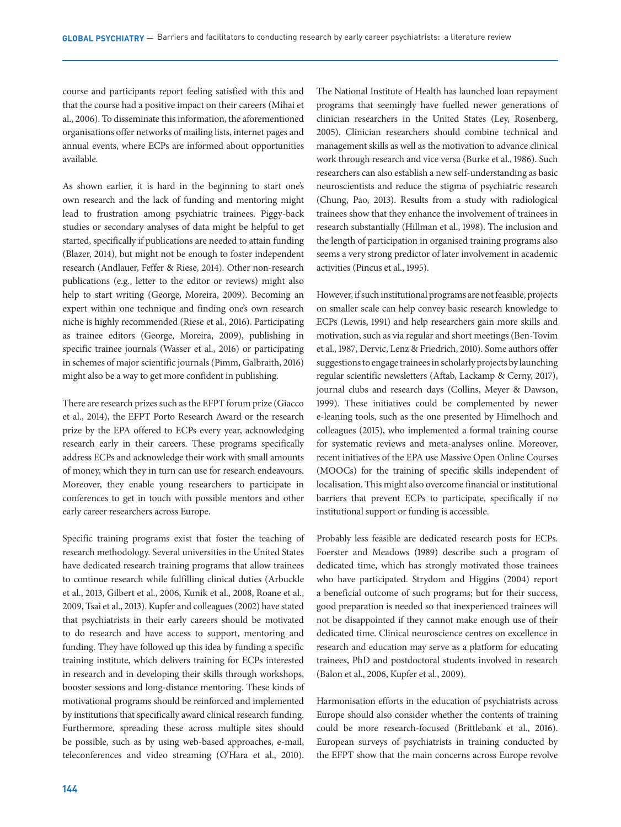course and participants report feeling satisfied with this and that the course had a positive impact on their careers (Mihai et al., 2006). To disseminate this information, the aforementioned organisations offer networks of mailing lists, internet pages and annual events, where ECPs are informed about opportunities available.

As shown earlier, it is hard in the beginning to start one's own research and the lack of funding and mentoring might lead to frustration among psychiatric trainees. Piggy-back studies or secondary analyses of data might be helpful to get started, specifically if publications are needed to attain funding (Blazer, 2014), but might not be enough to foster independent research (Andlauer, Feffer & Riese, 2014). Other non-research publications (e.g., letter to the editor or reviews) might also help to start writing (George, Moreira, 2009). Becoming an expert within one technique and finding one's own research niche is highly recommended (Riese et al., 2016). Participating as trainee editors (George, Moreira, 2009), publishing in specific trainee journals (Wasser et al., 2016) or participating in schemes of major scientific journals (Pimm, Galbraith, 2016) might also be a way to get more confident in publishing.

There are research prizes such as the EFPT forum prize (Giacco et al., 2014), the EFPT Porto Research Award or the research prize by the EPA offered to ECPs every year, acknowledging research early in their careers. These programs specifically address ECPs and acknowledge their work with small amounts of money, which they in turn can use for research endeavours. Moreover, they enable young researchers to participate in conferences to get in touch with possible mentors and other early career researchers across Europe.

Specific training programs exist that foster the teaching of research methodology. Several universities in the United States have dedicated research training programs that allow trainees to continue research while fulfilling clinical duties (Arbuckle et al., 2013, Gilbert et al., 2006, Kunik et al., 2008, Roane et al., 2009, Tsai et al., 2013). Kupfer and colleagues (2002) have stated that psychiatrists in their early careers should be motivated to do research and have access to support, mentoring and funding. They have followed up this idea by funding a specific training institute, which delivers training for ECPs interested in research and in developing their skills through workshops, booster sessions and long-distance mentoring. These kinds of motivational programs should be reinforced and implemented by institutions that specifically award clinical research funding. Furthermore, spreading these across multiple sites should be possible, such as by using web-based approaches, e-mail, teleconferences and video streaming (O'Hara et al., 2010).

The National Institute of Health has launched loan repayment programs that seemingly have fuelled newer generations of clinician researchers in the United States (Ley, Rosenberg, 2005). Clinician researchers should combine technical and management skills as well as the motivation to advance clinical work through research and vice versa (Burke et al., 1986). Such researchers can also establish a new self-understanding as basic neuroscientists and reduce the stigma of psychiatric research (Chung, Pao, 2013). Results from a study with radiological trainees show that they enhance the involvement of trainees in research substantially (Hillman et al., 1998). The inclusion and the length of participation in organised training programs also seems a very strong predictor of later involvement in academic activities (Pincus et al., 1995).

However, if such institutional programs are not feasible, projects on smaller scale can help convey basic research knowledge to ECPs (Lewis, 1991) and help researchers gain more skills and motivation, such as via regular and short meetings (Ben-Tovim et al., 1987, Dervic, Lenz & Friedrich, 2010). Some authors offer suggestions to engage trainees in scholarly projects by launching regular scientific newsletters (Aftab, Lackamp & Cerny, 2017), journal clubs and research days (Collins, Meyer & Dawson, 1999). These initiatives could be complemented by newer e-leaning tools, such as the one presented by Himelhoch and colleagues (2015), who implemented a formal training course for systematic reviews and meta-analyses online. Moreover, recent initiatives of the EPA use Massive Open Online Courses (MOOCs) for the training of specific skills independent of localisation. This might also overcome financial or institutional barriers that prevent ECPs to participate, specifically if no institutional support or funding is accessible.

Probably less feasible are dedicated research posts for ECPs. Foerster and Meadows (1989) describe such a program of dedicated time, which has strongly motivated those trainees who have participated. Strydom and Higgins (2004) report a beneficial outcome of such programs; but for their success, good preparation is needed so that inexperienced trainees will not be disappointed if they cannot make enough use of their dedicated time. Clinical neuroscience centres on excellence in research and education may serve as a platform for educating trainees, PhD and postdoctoral students involved in research (Balon et al., 2006, Kupfer et al., 2009).

Harmonisation efforts in the education of psychiatrists across Europe should also consider whether the contents of training could be more research-focused (Brittlebank et al., 2016). European surveys of psychiatrists in training conducted by the EFPT show that the main concerns across Europe revolve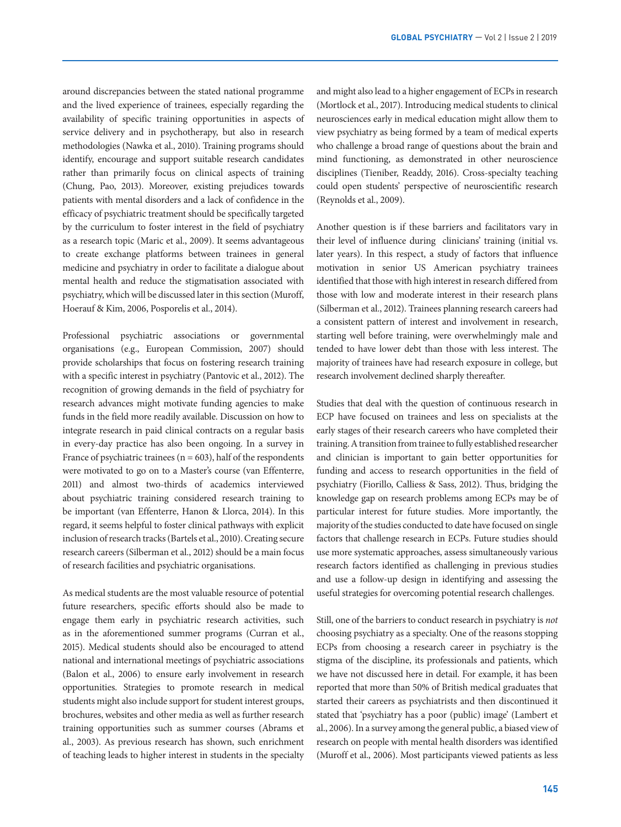around discrepancies between the stated national programme and the lived experience of trainees, especially regarding the availability of specific training opportunities in aspects of service delivery and in psychotherapy, but also in research methodologies (Nawka et al., 2010). Training programs should identify, encourage and support suitable research candidates rather than primarily focus on clinical aspects of training (Chung, Pao, 2013). Moreover, existing prejudices towards patients with mental disorders and a lack of confidence in the efficacy of psychiatric treatment should be specifically targeted by the curriculum to foster interest in the field of psychiatry as a research topic (Maric et al., 2009). It seems advantageous to create exchange platforms between trainees in general medicine and psychiatry in order to facilitate a dialogue about mental health and reduce the stigmatisation associated with psychiatry, which will be discussed later in this section (Muroff, Hoerauf & Kim, 2006, Posporelis et al., 2014).

Professional psychiatric associations or governmental organisations (e.g., European Commission, 2007) should provide scholarships that focus on fostering research training with a specific interest in psychiatry (Pantovic et al., 2012). The recognition of growing demands in the field of psychiatry for research advances might motivate funding agencies to make funds in the field more readily available. Discussion on how to integrate research in paid clinical contracts on a regular basis in every-day practice has also been ongoing. In a survey in France of psychiatric trainees ( $n = 603$ ), half of the respondents were motivated to go on to a Master's course (van Effenterre, 2011) and almost two-thirds of academics interviewed about psychiatric training considered research training to be important (van Effenterre, Hanon & Llorca, 2014). In this regard, it seems helpful to foster clinical pathways with explicit inclusion of research tracks (Bartels et al., 2010). Creating secure research careers (Silberman et al., 2012) should be a main focus of research facilities and psychiatric organisations.

As medical students are the most valuable resource of potential future researchers, specific efforts should also be made to engage them early in psychiatric research activities, such as in the aforementioned summer programs (Curran et al., 2015). Medical students should also be encouraged to attend national and international meetings of psychiatric associations (Balon et al., 2006) to ensure early involvement in research opportunities. Strategies to promote research in medical students might also include support for student interest groups, brochures, websites and other media as well as further research training opportunities such as summer courses (Abrams et al., 2003). As previous research has shown, such enrichment of teaching leads to higher interest in students in the specialty and might also lead to a higher engagement of ECPs in research (Mortlock et al., 2017). Introducing medical students to clinical neurosciences early in medical education might allow them to view psychiatry as being formed by a team of medical experts who challenge a broad range of questions about the brain and mind functioning, as demonstrated in other neuroscience disciplines (Tieniber, Readdy, 2016). Cross-specialty teaching could open students' perspective of neuroscientific research (Reynolds et al., 2009).

Another question is if these barriers and facilitators vary in their level of influence during clinicians' training (initial vs. later years). In this respect, a study of factors that influence motivation in senior US American psychiatry trainees identified that those with high interest in research differed from those with low and moderate interest in their research plans (Silberman et al., 2012). Trainees planning research careers had a consistent pattern of interest and involvement in research, starting well before training, were overwhelmingly male and tended to have lower debt than those with less interest. The majority of trainees have had research exposure in college, but research involvement declined sharply thereafter.

Studies that deal with the question of continuous research in ECP have focused on trainees and less on specialists at the early stages of their research careers who have completed their training. A transition from trainee to fully established researcher and clinician is important to gain better opportunities for funding and access to research opportunities in the field of psychiatry (Fiorillo, Calliess & Sass, 2012). Thus, bridging the knowledge gap on research problems among ECPs may be of particular interest for future studies. More importantly, the majority of the studies conducted to date have focused on single factors that challenge research in ECPs. Future studies should use more systematic approaches, assess simultaneously various research factors identified as challenging in previous studies and use a follow-up design in identifying and assessing the useful strategies for overcoming potential research challenges.

Still, one of the barriers to conduct research in psychiatry is *not* choosing psychiatry as a specialty. One of the reasons stopping ECPs from choosing a research career in psychiatry is the stigma of the discipline, its professionals and patients, which we have not discussed here in detail. For example, it has been reported that more than 50% of British medical graduates that started their careers as psychiatrists and then discontinued it stated that 'psychiatry has a poor (public) image' (Lambert et al., 2006). In a survey among the general public, a biased view of research on people with mental health disorders was identified (Muroff et al., 2006). Most participants viewed patients as less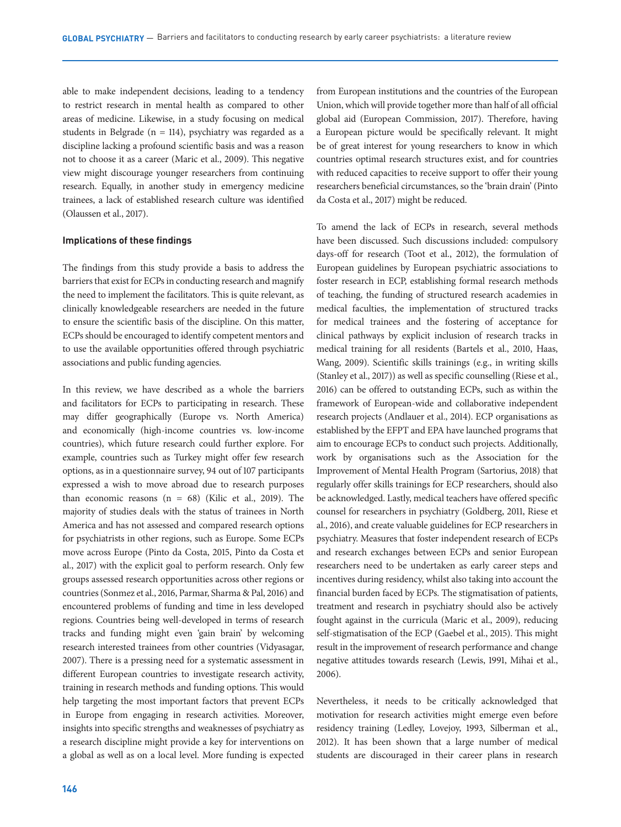able to make independent decisions, leading to a tendency to restrict research in mental health as compared to other areas of medicine. Likewise, in a study focusing on medical students in Belgrade ( $n = 114$ ), psychiatry was regarded as a discipline lacking a profound scientific basis and was a reason not to choose it as a career (Maric et al., 2009). This negative view might discourage younger researchers from continuing research. Equally, in another study in emergency medicine trainees, a lack of established research culture was identified (Olaussen et al., 2017).

### **Implications of these findings**

The findings from this study provide a basis to address the barriers that exist for ECPs in conducting research and magnify the need to implement the facilitators. This is quite relevant, as clinically knowledgeable researchers are needed in the future to ensure the scientific basis of the discipline. On this matter, ECPs should be encouraged to identify competent mentors and to use the available opportunities offered through psychiatric associations and public funding agencies.

In this review, we have described as a whole the barriers and facilitators for ECPs to participating in research. These may differ geographically (Europe vs. North America) and economically (high-income countries vs. low-income countries), which future research could further explore. For example, countries such as Turkey might offer few research options, as in a questionnaire survey, 94 out of 107 participants expressed a wish to move abroad due to research purposes than economic reasons  $(n = 68)$  (Kilic et al., 2019). The majority of studies deals with the status of trainees in North America and has not assessed and compared research options for psychiatrists in other regions, such as Europe. Some ECPs move across Europe (Pinto da Costa, 2015, Pinto da Costa et al., 2017) with the explicit goal to perform research. Only few groups assessed research opportunities across other regions or countries (Sonmez et al., 2016, Parmar, Sharma & Pal, 2016) and encountered problems of funding and time in less developed regions. Countries being well-developed in terms of research tracks and funding might even 'gain brain' by welcoming research interested trainees from other countries (Vidyasagar, 2007). There is a pressing need for a systematic assessment in different European countries to investigate research activity, training in research methods and funding options. This would help targeting the most important factors that prevent ECPs in Europe from engaging in research activities. Moreover, insights into specific strengths and weaknesses of psychiatry as a research discipline might provide a key for interventions on a global as well as on a local level. More funding is expected from European institutions and the countries of the European Union, which will provide together more than half of all official global aid (European Commission, 2017). Therefore, having a European picture would be specifically relevant. It might be of great interest for young researchers to know in which countries optimal research structures exist, and for countries with reduced capacities to receive support to offer their young researchers beneficial circumstances, so the 'brain drain' (Pinto da Costa et al., 2017) might be reduced.

To amend the lack of ECPs in research, several methods have been discussed. Such discussions included: compulsory days-off for research (Toot et al., 2012), the formulation of European guidelines by European psychiatric associations to foster research in ECP, establishing formal research methods of teaching, the funding of structured research academies in medical faculties, the implementation of structured tracks for medical trainees and the fostering of acceptance for clinical pathways by explicit inclusion of research tracks in medical training for all residents (Bartels et al., 2010, Haas, Wang, 2009). Scientific skills trainings (e.g., in writing skills (Stanley et al., 2017)) as well as specific counselling (Riese et al., 2016) can be offered to outstanding ECPs, such as within the framework of European-wide and collaborative independent research projects (Andlauer et al., 2014). ECP organisations as established by the EFPT and EPA have launched programs that aim to encourage ECPs to conduct such projects. Additionally, work by organisations such as the Association for the Improvement of Mental Health Program (Sartorius, 2018) that regularly offer skills trainings for ECP researchers, should also be acknowledged. Lastly, medical teachers have offered specific counsel for researchers in psychiatry (Goldberg, 2011, Riese et al., 2016), and create valuable guidelines for ECP researchers in psychiatry. Measures that foster independent research of ECPs and research exchanges between ECPs and senior European researchers need to be undertaken as early career steps and incentives during residency, whilst also taking into account the financial burden faced by ECPs. The stigmatisation of patients, treatment and research in psychiatry should also be actively fought against in the curricula (Maric et al., 2009), reducing self-stigmatisation of the ECP (Gaebel et al., 2015). This might result in the improvement of research performance and change negative attitudes towards research (Lewis, 1991, Mihai et al., 2006).

Nevertheless, it needs to be critically acknowledged that motivation for research activities might emerge even before residency training (Ledley, Lovejoy, 1993, Silberman et al., 2012). It has been shown that a large number of medical students are discouraged in their career plans in research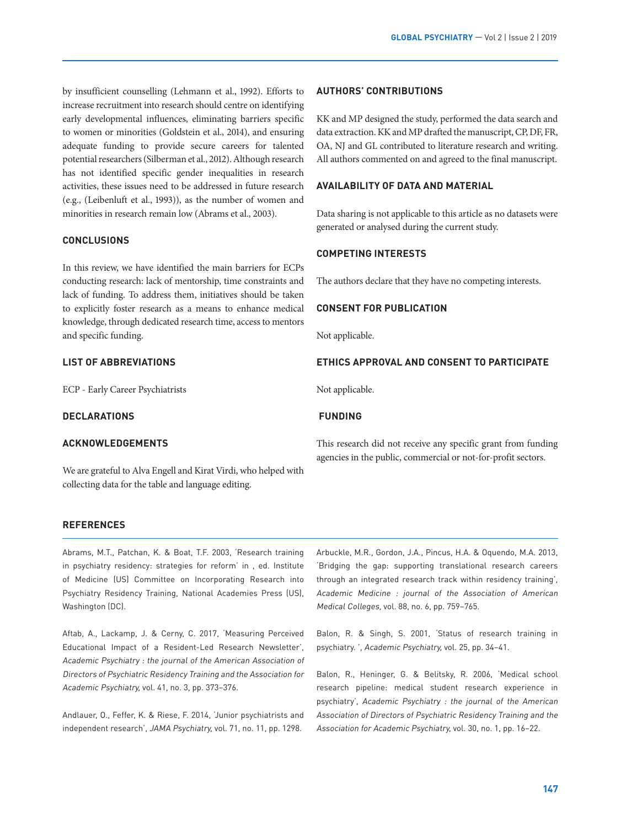by insufficient counselling (Lehmann et al., 1992). Efforts to increase recruitment into research should centre on identifying early developmental influences, eliminating barriers specific to women or minorities (Goldstein et al., 2014), and ensuring adequate funding to provide secure careers for talented potential researchers (Silberman et al., 2012). Although research has not identified specific gender inequalities in research activities, these issues need to be addressed in future research (e.g., (Leibenluft et al., 1993)), as the number of women and minorities in research remain low (Abrams et al., 2003).

## **CONCLUSIONS**

In this review, we have identified the main barriers for ECPs conducting research: lack of mentorship, time constraints and lack of funding. To address them, initiatives should be taken to explicitly foster research as a means to enhance medical knowledge, through dedicated research time, access to mentors and specific funding.

## **LIST OF ABBREVIATIONS**

ECP - Early Career Psychiatrists

## **DECLARATIONS**

## **ACKNOWLEDGEMENTS**

We are grateful to Alva Engell and Kirat Virdi, who helped with collecting data for the table and language editing.

#### **AUTHORS' CONTRIBUTIONS**

KK and MP designed the study, performed the data search and data extraction. KK and MP drafted the manuscript, CP, DF, FR, OA, NJ and GL contributed to literature research and writing. All authors commented on and agreed to the final manuscript.

## **AVAILABILITY OF DATA AND MATERIAL**

Data sharing is not applicable to this article as no datasets were generated or analysed during the current study.

## **COMPETING INTERESTS**

The authors declare that they have no competing interests.

#### **CONSENT FOR PUBLICATION**

Not applicable.

## **ETHICS APPROVAL AND CONSENT TO PARTICIPATE**

Not applicable.

## **FUNDING**

This research did not receive any specific grant from funding agencies in the public, commercial or not-for-profit sectors.

### **REFERENCES**

Abrams, M.T., Patchan, K. & Boat, T.F. 2003, 'Research training in psychiatry residency: strategies for reform' in , ed. Institute of Medicine (US) Committee on Incorporating Research into Psychiatry Residency Training, National Academies Press (US), Washington (DC).

Aftab, A., Lackamp, J. & Cerny, C. 2017, 'Measuring Perceived Educational Impact of a Resident-Led Research Newsletter', Academic Psychiatry : the journal of the American Association of Directors of Psychiatric Residency Training and the Association for Academic Psychiatry, vol. 41, no. 3, pp. 373–376.

Andlauer, O., Feffer, K. & Riese, F. 2014, 'Junior psychiatrists and independent research', JAMA Psychiatry, vol. 71, no. 11, pp. 1298.

Arbuckle, M.R., Gordon, J.A., Pincus, H.A. & Oquendo, M.A. 2013, 'Bridging the gap: supporting translational research careers through an integrated research track within residency training', Academic Medicine : journal of the Association of American Medical Colleges, vol. 88, no. 6, pp. 759–765.

Balon, R. & Singh, S. 2001, 'Status of research training in psychiatry. ', Academic Psychiatry, vol. 25, pp. 34–41.

Balon, R., Heninger, G. & Belitsky, R. 2006, 'Medical school research pipeline: medical student research experience in psychiatry', Academic Psychiatry : the journal of the American Association of Directors of Psychiatric Residency Training and the Association for Academic Psychiatry, vol. 30, no. 1, pp. 16–22.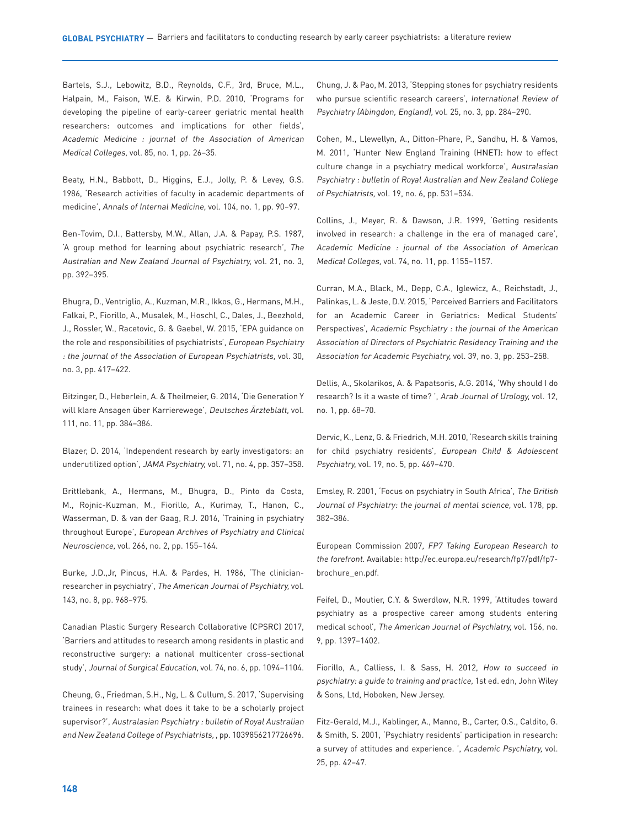Bartels, S.J., Lebowitz, B.D., Reynolds, C.F., 3rd, Bruce, M.L., Halpain, M., Faison, W.E. & Kirwin, P.D. 2010, 'Programs for developing the pipeline of early-career geriatric mental health researchers: outcomes and implications for other fields', Academic Medicine : journal of the Association of American Medical Colleges, vol. 85, no. 1, pp. 26–35.

Beaty, H.N., Babbott, D., Higgins, E.J., Jolly, P. & Levey, G.S. 1986, 'Research activities of faculty in academic departments of medicine', Annals of Internal Medicine, vol. 104, no. 1, pp. 90–97.

Ben-Tovim, D.I., Battersby, M.W., Allan, J.A. & Papay, P.S. 1987, 'A group method for learning about psychiatric research', The Australian and New Zealand Journal of Psychiatry, vol. 21, no. 3, pp. 392–395.

Bhugra, D., Ventriglio, A., Kuzman, M.R., Ikkos, G., Hermans, M.H., Falkai, P., Fiorillo, A., Musalek, M., Hoschl, C., Dales, J., Beezhold, J., Rossler, W., Racetovic, G. & Gaebel, W. 2015, 'EPA guidance on the role and responsibilities of psychiatrists', European Psychiatry : the journal of the Association of European Psychiatrists, vol. 30, no. 3, pp. 417–422.

Bitzinger, D., Heberlein, A. & Theilmeier, G. 2014, 'Die Generation Y will klare Ansagen über Karrierewege', Deutsches Ärzteblatt, vol. 111, no. 11, pp. 384–386.

Blazer, D. 2014, 'Independent research by early investigators: an underutilized option', JAMA Psychiatry, vol. 71, no. 4, pp. 357–358.

Brittlebank, A., Hermans, M., Bhugra, D., Pinto da Costa, M., Rojnic-Kuzman, M., Fiorillo, A., Kurimay, T., Hanon, C., Wasserman, D. & van der Gaag, R.J. 2016, 'Training in psychiatry throughout Europe', European Archives of Psychiatry and Clinical Neuroscience, vol. 266, no. 2, pp. 155–164.

Burke, J.D.,Jr, Pincus, H.A. & Pardes, H. 1986, 'The clinicianresearcher in psychiatry', The American Journal of Psychiatry, vol. 143, no. 8, pp. 968–975.

Canadian Plastic Surgery Research Collaborative (CPSRC) 2017, 'Barriers and attitudes to research among residents in plastic and reconstructive surgery: a national multicenter cross-sectional study', Journal of Surgical Education, vol. 74, no. 6, pp. 1094–1104.

Cheung, G., Friedman, S.H., Ng, L. & Cullum, S. 2017, 'Supervising trainees in research: what does it take to be a scholarly project supervisor?', Australasian Psychiatry : bulletin of Royal Australian and New Zealand College of Psychiatrists, , pp. 1039856217726696. Chung, J. & Pao, M. 2013, 'Stepping stones for psychiatry residents who pursue scientific research careers', International Review of Psychiatry (Abingdon, England), vol. 25, no. 3, pp. 284–290.

Cohen, M., Llewellyn, A., Ditton-Phare, P., Sandhu, H. & Vamos, M. 2011, 'Hunter New England Training (HNET): how to effect culture change in a psychiatry medical workforce', Australasian Psychiatry : bulletin of Royal Australian and New Zealand College of Psychiatrists, vol. 19, no. 6, pp. 531–534.

Collins, J., Meyer, R. & Dawson, J.R. 1999, 'Getting residents involved in research: a challenge in the era of managed care', Academic Medicine : journal of the Association of American Medical Colleges, vol. 74, no. 11, pp. 1155–1157.

Curran, M.A., Black, M., Depp, C.A., Iglewicz, A., Reichstadt, J., Palinkas, L. & Jeste, D.V. 2015, 'Perceived Barriers and Facilitators for an Academic Career in Geriatrics: Medical Students' Perspectives', Academic Psychiatry : the journal of the American Association of Directors of Psychiatric Residency Training and the Association for Academic Psychiatry, vol. 39, no. 3, pp. 253–258.

Dellis, A., Skolarikos, A. & Papatsoris, A.G. 2014, 'Why should I do research? Is it a waste of time? ', Arab Journal of Urology, vol. 12, no. 1, pp. 68–70.

Dervic, K., Lenz, G. & Friedrich, M.H. 2010, 'Research skills training for child psychiatry residents', European Child & Adolescent Psychiatry, vol. 19, no. 5, pp. 469–470.

Emsley, R. 2001, 'Focus on psychiatry in South Africa', The British Journal of Psychiatry: the journal of mental science, vol. 178, pp. 382–386.

European Commission 2007, FP7 Taking European Research to the forefront. Available: http://ec.europa.eu/research/fp7/pdf/fp7 brochure\_en.pdf.

Feifel, D., Moutier, C.Y. & Swerdlow, N.R. 1999, 'Attitudes toward psychiatry as a prospective career among students entering medical school', The American Journal of Psychiatry, vol. 156, no. 9, pp. 1397–1402.

Fiorillo, A., Calliess, I. & Sass, H. 2012, How to succeed in psychiatry: a guide to training and practice, 1st ed. edn, John Wiley & Sons, Ltd, Hoboken, New Jersey.

Fitz-Gerald, M.J., Kablinger, A., Manno, B., Carter, O.S., Caldito, G. & Smith, S. 2001, 'Psychiatry residents' participation in research: a survey of attitudes and experience. ', Academic Psychiatry, vol. 25, pp. 42–47.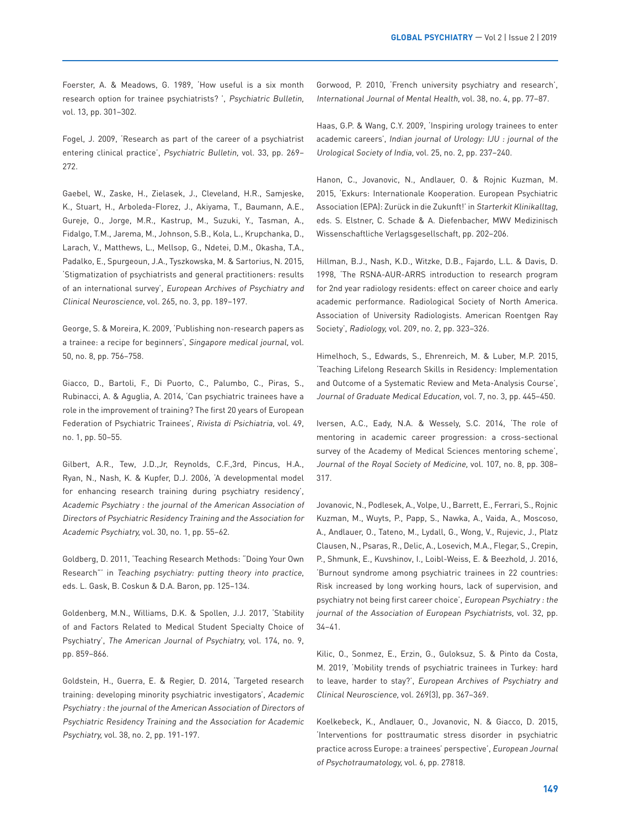Foerster, A. & Meadows, G. 1989, 'How useful is a six month research option for trainee psychiatrists? ', Psychiatric Bulletin, vol. 13, pp. 301–302.

Fogel, J. 2009, 'Research as part of the career of a psychiatrist entering clinical practice', Psychiatric Bulletin, vol. 33, pp. 269– 272.

Gaebel, W., Zaske, H., Zielasek, J., Cleveland, H.R., Samjeske, K., Stuart, H., Arboleda-Florez, J., Akiyama, T., Baumann, A.E., Gureje, O., Jorge, M.R., Kastrup, M., Suzuki, Y., Tasman, A., Fidalgo, T.M., Jarema, M., Johnson, S.B., Kola, L., Krupchanka, D., Larach, V., Matthews, L., Mellsop, G., Ndetei, D.M., Okasha, T.A., Padalko, E., Spurgeoun, J.A., Tyszkowska, M. & Sartorius, N. 2015, 'Stigmatization of psychiatrists and general practitioners: results of an international survey', European Archives of Psychiatry and Clinical Neuroscience, vol. 265, no. 3, pp. 189–197.

George, S. & Moreira, K. 2009, 'Publishing non-research papers as a trainee: a recipe for beginners', Singapore medical journal, vol. 50, no. 8, pp. 756–758.

Giacco, D., Bartoli, F., Di Puorto, C., Palumbo, C., Piras, S., Rubinacci, A. & Aguglia, A. 2014, 'Can psychiatric trainees have a role in the improvement of training? The first 20 years of European Federation of Psychiatric Trainees', Rivista di Psichiatria, vol. 49, no. 1, pp. 50–55.

Gilbert, A.R., Tew, J.D.,Jr, Reynolds, C.F.,3rd, Pincus, H.A., Ryan, N., Nash, K. & Kupfer, D.J. 2006, 'A developmental model for enhancing research training during psychiatry residency', Academic Psychiatry : the journal of the American Association of Directors of Psychiatric Residency Training and the Association for Academic Psychiatry, vol. 30, no. 1, pp. 55–62.

Goldberg, D. 2011, 'Teaching Research Methods: "Doing Your Own Research"' in Teaching psychiatry: putting theory into practice, eds. L. Gask, B. Coskun & D.A. Baron, pp. 125–134.

Goldenberg, M.N., Williams, D.K. & Spollen, J.J. 2017, 'Stability of and Factors Related to Medical Student Specialty Choice of Psychiatry', The American Journal of Psychiatry, vol. 174, no. 9, pp. 859–866.

Goldstein, H., Guerra, E. & Regier, D. 2014, 'Targeted research training: developing minority psychiatric investigators', Academic Psychiatry : the journal of the American Association of Directors of Psychiatric Residency Training and the Association for Academic Psychiatry, vol. 38, no. 2, pp. 191-197.

Gorwood, P. 2010, 'French university psychiatry and research', International Journal of Mental Health, vol. 38, no. 4, pp. 77–87.

Haas, G.P. & Wang, C.Y. 2009, 'Inspiring urology trainees to enter academic careers', Indian journal of Urology: IJU : journal of the Urological Society of India, vol. 25, no. 2, pp. 237–240.

Hanon, C., Jovanovic, N., Andlauer, O. & Rojnic Kuzman, M. 2015, 'Exkurs: Internationale Kooperation. European Psychiatric Association (EPA): Zurück in die Zukunft!' in Starterkit Klinikalltag, eds. S. Elstner, C. Schade & A. Diefenbacher, MWV Medizinisch Wissenschaftliche Verlagsgesellschaft, pp. 202–206.

Hillman, B.J., Nash, K.D., Witzke, D.B., Fajardo, L.L. & Davis, D. 1998, 'The RSNA-AUR-ARRS introduction to research program for 2nd year radiology residents: effect on career choice and early academic performance. Radiological Society of North America. Association of University Radiologists. American Roentgen Ray Society', Radiology, vol. 209, no. 2, pp. 323–326.

Himelhoch, S., Edwards, S., Ehrenreich, M. & Luber, M.P. 2015, 'Teaching Lifelong Research Skills in Residency: Implementation and Outcome of a Systematic Review and Meta-Analysis Course', Journal of Graduate Medical Education, vol. 7, no. 3, pp. 445–450.

Iversen, A.C., Eady, N.A. & Wessely, S.C. 2014, 'The role of mentoring in academic career progression: a cross-sectional survey of the Academy of Medical Sciences mentoring scheme', Journal of the Royal Society of Medicine, vol. 107, no. 8, pp. 308– 317.

Jovanovic, N., Podlesek, A., Volpe, U., Barrett, E., Ferrari, S., Rojnic Kuzman, M., Wuyts, P., Papp, S., Nawka, A., Vaida, A., Moscoso, A., Andlauer, O., Tateno, M., Lydall, G., Wong, V., Rujevic, J., Platz Clausen, N., Psaras, R., Delic, A., Losevich, M.A., Flegar, S., Crepin, P., Shmunk, E., Kuvshinov, I., Loibl-Weiss, E. & Beezhold, J. 2016, 'Burnout syndrome among psychiatric trainees in 22 countries: Risk increased by long working hours, lack of supervision, and psychiatry not being first career choice', European Psychiatry : the journal of the Association of European Psychiatrists, vol. 32, pp. 34–41.

Kilic, O., Sonmez, E., Erzin, G., Guloksuz, S. & Pinto da Costa, M. 2019, 'Mobility trends of psychiatric trainees in Turkey: hard to leave, harder to stay?', European Archives of Psychiatry and Clinical Neuroscience, vol. 269(3), pp. 367–369.

Koelkebeck, K., Andlauer, O., Jovanovic, N. & Giacco, D. 2015, 'Interventions for posttraumatic stress disorder in psychiatric practice across Europe: a trainees' perspective', European Journal of Psychotraumatology, vol. 6, pp. 27818.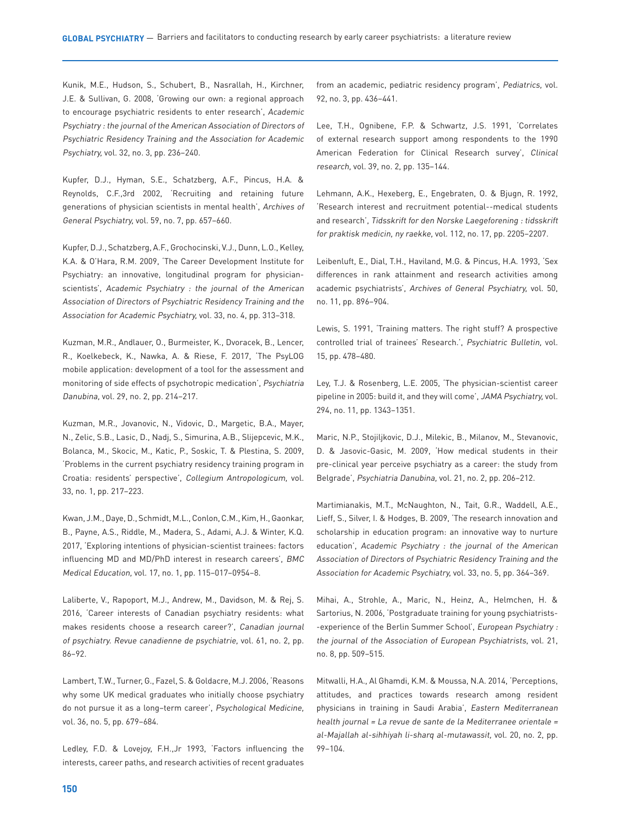Kunik, M.E., Hudson, S., Schubert, B., Nasrallah, H., Kirchner, J.E. & Sullivan, G. 2008, 'Growing our own: a regional approach to encourage psychiatric residents to enter research', Academic Psychiatry : the journal of the American Association of Directors of Psychiatric Residency Training and the Association for Academic Psychiatry, vol. 32, no. 3, pp. 236–240.

Kupfer, D.J., Hyman, S.E., Schatzberg, A.F., Pincus, H.A. & Reynolds, C.F.,3rd 2002, 'Recruiting and retaining future generations of physician scientists in mental health', Archives of General Psychiatry, vol. 59, no. 7, pp. 657–660.

Kupfer, D.J., Schatzberg, A.F., Grochocinski, V.J., Dunn, L.O., Kelley, K.A. & O'Hara, R.M. 2009, 'The Career Development Institute for Psychiatry: an innovative, longitudinal program for physicianscientists', Academic Psychiatry : the journal of the American Association of Directors of Psychiatric Residency Training and the Association for Academic Psychiatry, vol. 33, no. 4, pp. 313–318.

Kuzman, M.R., Andlauer, O., Burmeister, K., Dvoracek, B., Lencer, R., Koelkebeck, K., Nawka, A. & Riese, F. 2017, 'The PsyLOG mobile application: development of a tool for the assessment and monitoring of side effects of psychotropic medication', Psychiatria Danubina, vol. 29, no. 2, pp. 214–217.

Kuzman, M.R., Jovanovic, N., Vidovic, D., Margetic, B.A., Mayer, N., Zelic, S.B., Lasic, D., Nadj, S., Simurina, A.B., Slijepcevic, M.K., Bolanca, M., Skocic, M., Katic, P., Soskic, T. & Plestina, S. 2009, 'Problems in the current psychiatry residency training program in Croatia: residents' perspective', Collegium Antropologicum, vol. 33, no. 1, pp. 217–223.

Kwan, J.M., Daye, D., Schmidt, M.L., Conlon, C.M., Kim, H., Gaonkar, B., Payne, A.S., Riddle, M., Madera, S., Adami, A.J. & Winter, K.Q. 2017, 'Exploring intentions of physician-scientist trainees: factors influencing MD and MD/PhD interest in research careers', BMC Medical Education, vol. 17, no. 1, pp. 115–017–0954–8.

Laliberte, V., Rapoport, M.J., Andrew, M., Davidson, M. & Rej, S. 2016, 'Career interests of Canadian psychiatry residents: what makes residents choose a research career?', Canadian journal of psychiatry. Revue canadienne de psychiatrie, vol. 61, no. 2, pp. 86–92.

Lambert, T.W., Turner, G., Fazel, S. & Goldacre, M.J. 2006, 'Reasons why some UK medical graduates who initially choose psychiatry do not pursue it as a long–term career', Psychological Medicine, vol. 36, no. 5, pp. 679–684.

Ledley, F.D. & Lovejoy, F.H.,Jr 1993, 'Factors influencing the interests, career paths, and research activities of recent graduates

from an academic, pediatric residency program', Pediatrics, vol. 92, no. 3, pp. 436–441.

Lee, T.H., Ognibene, F.P. & Schwartz, J.S. 1991, 'Correlates of external research support among respondents to the 1990 American Federation for Clinical Research survey', Clinical research, vol. 39, no. 2, pp. 135–144.

Lehmann, A.K., Hexeberg, E., Engebraten, O. & Bjugn, R. 1992, 'Research interest and recruitment potential--medical students and research', Tidsskrift for den Norske Laegeforening : tidsskrift for praktisk medicin, ny raekke, vol. 112, no. 17, pp. 2205–2207.

Leibenluft, E., Dial, T.H., Haviland, M.G. & Pincus, H.A. 1993, 'Sex differences in rank attainment and research activities among academic psychiatrists', Archives of General Psychiatry, vol. 50, no. 11, pp. 896–904.

Lewis, S. 1991, 'Training matters. The right stuff? A prospective controlled trial of trainees' Research.', Psychiatric Bulletin, vol. 15, pp. 478–480.

Ley, T.J. & Rosenberg, L.E. 2005, 'The physician-scientist career pipeline in 2005: build it, and they will come', JAMA Psychiatry, vol. 294, no. 11, pp. 1343–1351.

Maric, N.P., Stojiljkovic, D.J., Milekic, B., Milanov, M., Stevanovic, D. & Jasovic-Gasic, M. 2009, 'How medical students in their pre-clinical year perceive psychiatry as a career: the study from Belgrade', Psychiatria Danubina, vol. 21, no. 2, pp. 206–212.

Martimianakis, M.T., McNaughton, N., Tait, G.R., Waddell, A.E., Lieff, S., Silver, I. & Hodges, B. 2009, 'The research innovation and scholarship in education program: an innovative way to nurture education', Academic Psychiatry : the journal of the American Association of Directors of Psychiatric Residency Training and the Association for Academic Psychiatry, vol. 33, no. 5, pp. 364–369.

Mihai, A., Strohle, A., Maric, N., Heinz, A., Helmchen, H. & Sartorius, N. 2006, 'Postgraduate training for young psychiatrists- -experience of the Berlin Summer School', European Psychiatry : the journal of the Association of European Psychiatrists, vol. 21, no. 8, pp. 509–515.

Mitwalli, H.A., Al Ghamdi, K.M. & Moussa, N.A. 2014, 'Perceptions, attitudes, and practices towards research among resident physicians in training in Saudi Arabia', Eastern Mediterranean health journal = La revue de sante de la Mediterranee orientale = al-Majallah al-sihhiyah li-sharq al-mutawassit, vol. 20, no. 2, pp. 99–104.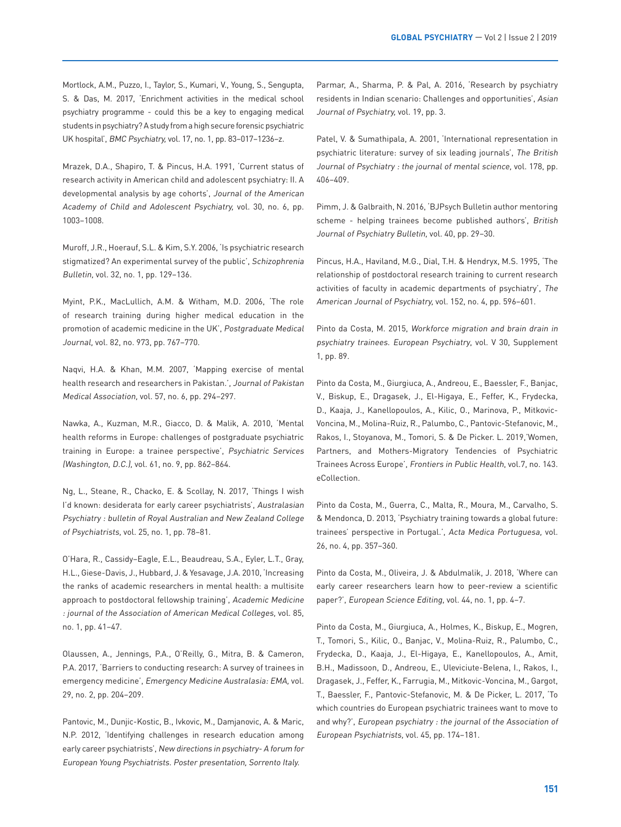Mortlock, A.M., Puzzo, I., Taylor, S., Kumari, V., Young, S., Sengupta, S. & Das, M. 2017, 'Enrichment activities in the medical school psychiatry programme - could this be a key to engaging medical students in psychiatry? A study from a high secure forensic psychiatric UK hospital', BMC Psychiatry, vol. 17, no. 1, pp. 83–017–1236–z.

Mrazek, D.A., Shapiro, T. & Pincus, H.A. 1991, 'Current status of research activity in American child and adolescent psychiatry: II. A developmental analysis by age cohorts', Journal of the American Academy of Child and Adolescent Psychiatry, vol. 30, no. 6, pp. 1003–1008.

Muroff, J.R., Hoerauf, S.L. & Kim, S.Y. 2006, 'Is psychiatric research stigmatized? An experimental survey of the public', Schizophrenia Bulletin, vol. 32, no. 1, pp. 129–136.

Myint, P.K., MacLullich, A.M. & Witham, M.D. 2006, 'The role of research training during higher medical education in the promotion of academic medicine in the UK', Postgraduate Medical Journal, vol. 82, no. 973, pp. 767–770.

Naqvi, H.A. & Khan, M.M. 2007, 'Mapping exercise of mental health research and researchers in Pakistan.', Journal of Pakistan Medical Association, vol. 57, no. 6, pp. 294–297.

Nawka, A., Kuzman, M.R., Giacco, D. & Malik, A. 2010, 'Mental health reforms in Europe: challenges of postgraduate psychiatric training in Europe: a trainee perspective', Psychiatric Services (Washington, D.C.), vol. 61, no. 9, pp. 862–864.

Ng, L., Steane, R., Chacko, E. & Scollay, N. 2017, 'Things I wish I'd known: desiderata for early career psychiatrists', Australasian Psychiatry : bulletin of Royal Australian and New Zealand College of Psychiatrists, vol. 25, no. 1, pp. 78–81.

O'Hara, R., Cassidy–Eagle, E.L., Beaudreau, S.A., Eyler, L.T., Gray, H.L., Giese-Davis, J., Hubbard, J. & Yesavage, J.A. 2010, 'Increasing the ranks of academic researchers in mental health: a multisite approach to postdoctoral fellowship training', Academic Medicine : journal of the Association of American Medical Colleges, vol. 85, no. 1, pp. 41–47.

Olaussen, A., Jennings, P.A., O'Reilly, G., Mitra, B. & Cameron, P.A. 2017, 'Barriers to conducting research: A survey of trainees in emergency medicine', Emergency Medicine Australasia: EMA, vol. 29, no. 2, pp. 204–209.

Pantovic, M., Dunjic-Kostic, B., Ivkovic, M., Damjanovic, A. & Maric, N.P. 2012, 'Identifying challenges in research education among early career psychiatrists', New directions in psychiatry- A forum for European Young Psychiatrists. Poster presentation, Sorrento Italy.

Parmar, A., Sharma, P. & Pal, A. 2016, 'Research by psychiatry residents in Indian scenario: Challenges and opportunities', Asian Journal of Psychiatry, vol. 19, pp. 3.

Patel, V. & Sumathipala, A. 2001, 'International representation in psychiatric literature: survey of six leading journals', The British Journal of Psychiatry : the journal of mental science, vol. 178, pp. 406–409.

Pimm, J. & Galbraith, N. 2016, 'BJPsych Bulletin author mentoring scheme - helping trainees become published authors', British Journal of Psychiatry Bulletin, vol. 40, pp. 29–30.

Pincus, H.A., Haviland, M.G., Dial, T.H. & Hendryx, M.S. 1995, 'The relationship of postdoctoral research training to current research activities of faculty in academic departments of psychiatry', The American Journal of Psychiatry, vol. 152, no. 4, pp. 596–601.

Pinto da Costa, M. 2015, Workforce migration and brain drain in psychiatry trainees. European Psychiatry, vol. V 30, Supplement 1, pp. 89.

Pinto da Costa, M., Giurgiuca, A., Andreou, E., Baessler, F., Banjac, V., Biskup, E., Dragasek, J., El-Higaya, E., Feffer, K., Frydecka, D., Kaaja, J., Kanellopoulos, A., Kilic, O., Marinova, P., Mitkovic-Voncina, M., Molina-Ruiz, R., Palumbo, C., Pantovic-Stefanovic, M., Rakos, I., Stoyanova, M., Tomori, S. & De Picker. L. 2019,'Women, Partners, and Mothers-Migratory Tendencies of Psychiatric Trainees Across Europe', Frontiers in Public Health, vol.7, no. 143. eCollection.

Pinto da Costa, M., Guerra, C., Malta, R., Moura, M., Carvalho, S. & Mendonca, D. 2013, 'Psychiatry training towards a global future: trainees' perspective in Portugal.', Acta Medica Portuguesa, vol. 26, no. 4, pp. 357–360.

Pinto da Costa, M., Oliveira, J. & Abdulmalik, J. 2018, 'Where can early career researchers learn how to peer-review a scientific paper?', European Science Editing, vol. 44, no. 1, pp. 4–7.

Pinto da Costa, M., Giurgiuca, A., Holmes, K., Biskup, E., Mogren, T., Tomori, S., Kilic, O., Banjac, V., Molina-Ruiz, R., Palumbo, C., Frydecka, D., Kaaja, J., El-Higaya, E., Kanellopoulos, A., Amit, B.H., Madissoon, D., Andreou, E., Uleviciute-Belena, I., Rakos, I., Dragasek, J., Feffer, K., Farrugia, M., Mitkovic-Voncina, M., Gargot, T., Baessler, F., Pantovic-Stefanovic, M. & De Picker, L. 2017, 'To which countries do European psychiatric trainees want to move to and why?', European psychiatry : the journal of the Association of European Psychiatrists, vol. 45, pp. 174–181.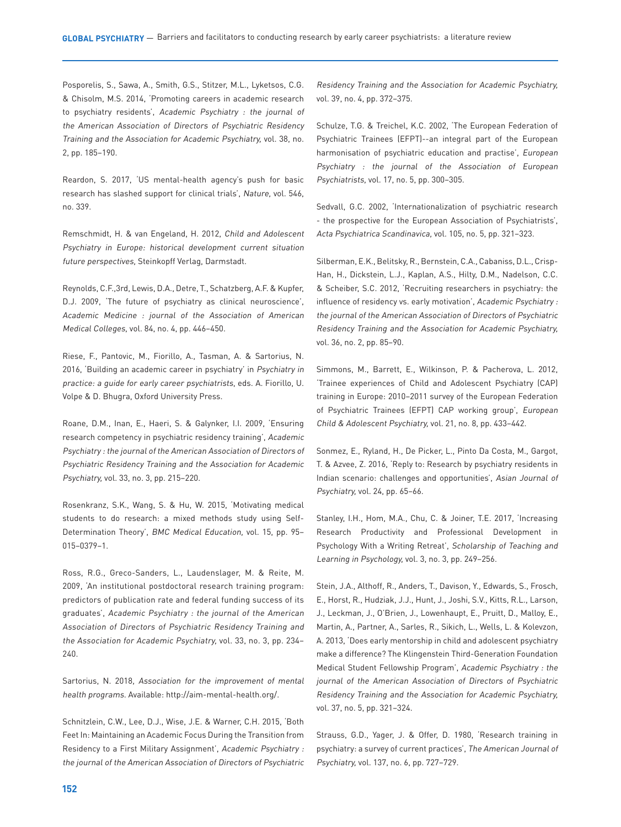Posporelis, S., Sawa, A., Smith, G.S., Stitzer, M.L., Lyketsos, C.G. & Chisolm, M.S. 2014, 'Promoting careers in academic research to psychiatry residents', Academic Psychiatry : the journal of the American Association of Directors of Psychiatric Residency Training and the Association for Academic Psychiatry, vol. 38, no. 2, pp. 185–190.

Reardon, S. 2017, 'US mental-health agency's push for basic research has slashed support for clinical trials', Nature, vol. 546, no. 339.

Remschmidt, H. & van Engeland, H. 2012, Child and Adolescent Psychiatry in Europe: historical development current situation future perspectives, Steinkopff Verlag, Darmstadt.

Reynolds, C.F.,3rd, Lewis, D.A., Detre, T., Schatzberg, A.F. & Kupfer, D.J. 2009, 'The future of psychiatry as clinical neuroscience', Academic Medicine : journal of the Association of American Medical Colleges, vol. 84, no. 4, pp. 446–450.

Riese, F., Pantovic, M., Fiorillo, A., Tasman, A. & Sartorius, N. 2016, 'Building an academic career in psychiatry' in Psychiatry in practice: a guide for early career psychiatrists, eds. A. Fiorillo, U. Volpe & D. Bhugra, Oxford University Press.

Roane, D.M., Inan, E., Haeri, S. & Galynker, I.I. 2009, 'Ensuring research competency in psychiatric residency training', Academic Psychiatry : the journal of the American Association of Directors of Psychiatric Residency Training and the Association for Academic Psychiatry, vol. 33, no. 3, pp. 215–220.

Rosenkranz, S.K., Wang, S. & Hu, W. 2015, 'Motivating medical students to do research: a mixed methods study using Self-Determination Theory', BMC Medical Education, vol. 15, pp. 95– 015–0379–1.

Ross, R.G., Greco-Sanders, L., Laudenslager, M. & Reite, M. 2009, 'An institutional postdoctoral research training program: predictors of publication rate and federal funding success of its graduates', Academic Psychiatry : the journal of the American Association of Directors of Psychiatric Residency Training and the Association for Academic Psychiatry, vol. 33, no. 3, pp. 234– 240.

Sartorius, N. 2018, Association for the improvement of mental health programs. Available: http://aim-mental-health.org/.

Schnitzlein, C.W., Lee, D.J., Wise, J.E. & Warner, C.H. 2015, 'Both Feet In: Maintaining an Academic Focus During the Transition from Residency to a First Military Assignment', Academic Psychiatry : the journal of the American Association of Directors of Psychiatric Residency Training and the Association for Academic Psychiatry, vol. 39, no. 4, pp. 372–375.

Schulze, T.G. & Treichel, K.C. 2002, 'The European Federation of Psychiatric Trainees (EFPT)--an integral part of the European harmonisation of psychiatric education and practise', European Psychiatry : the journal of the Association of European Psychiatrists, vol. 17, no. 5, pp. 300–305.

Sedvall, G.C. 2002, 'Internationalization of psychiatric research - the prospective for the European Association of Psychiatrists', Acta Psychiatrica Scandinavica, vol. 105, no. 5, pp. 321–323.

Silberman, E.K., Belitsky, R., Bernstein, C.A., Cabaniss, D.L., Crisp-Han, H., Dickstein, L.J., Kaplan, A.S., Hilty, D.M., Nadelson, C.C. & Scheiber, S.C. 2012, 'Recruiting researchers in psychiatry: the influence of residency vs. early motivation', Academic Psychiatry : the journal of the American Association of Directors of Psychiatric Residency Training and the Association for Academic Psychiatry, vol. 36, no. 2, pp. 85–90.

Simmons, M., Barrett, E., Wilkinson, P. & Pacherova, L. 2012, 'Trainee experiences of Child and Adolescent Psychiatry (CAP) training in Europe: 2010–2011 survey of the European Federation of Psychiatric Trainees (EFPT) CAP working group', European Child & Adolescent Psychiatry, vol. 21, no. 8, pp. 433–442.

Sonmez, E., Ryland, H., De Picker, L., Pinto Da Costa, M., Gargot, T. & Azvee, Z. 2016, 'Reply to: Research by psychiatry residents in Indian scenario: challenges and opportunities', Asian Journal of Psychiatry, vol. 24, pp. 65-66.

Stanley, I.H., Hom, M.A., Chu, C. & Joiner, T.E. 2017, 'Increasing Research Productivity and Professional Development in Psychology With a Writing Retreat', Scholarship of Teaching and Learning in Psychology, vol. 3, no. 3, pp. 249–256.

Stein, J.A., Althoff, R., Anders, T., Davison, Y., Edwards, S., Frosch, E., Horst, R., Hudziak, J.J., Hunt, J., Joshi, S.V., Kitts, R.L., Larson, J., Leckman, J., O'Brien, J., Lowenhaupt, E., Pruitt, D., Malloy, E., Martin, A., Partner, A., Sarles, R., Sikich, L., Wells, L. & Kolevzon, A. 2013, 'Does early mentorship in child and adolescent psychiatry make a difference? The Klingenstein Third-Generation Foundation Medical Student Fellowship Program', Academic Psychiatry : the journal of the American Association of Directors of Psychiatric Residency Training and the Association for Academic Psychiatry, vol. 37, no. 5, pp. 321–324.

Strauss, G.D., Yager, J. & Offer, D. 1980, 'Research training in psychiatry: a survey of current practices', The American Journal of Psychiatry, vol. 137, no. 6, pp. 727–729.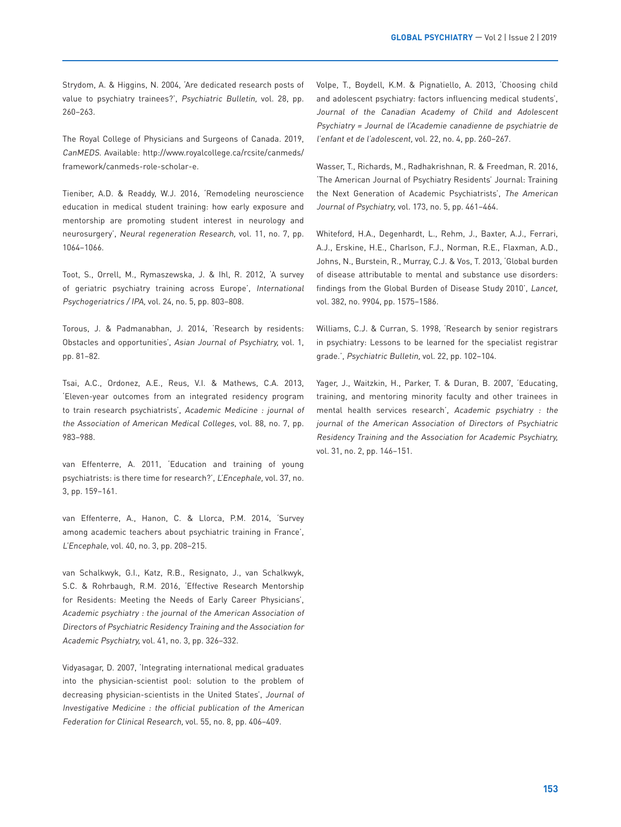Strydom, A. & Higgins, N. 2004, 'Are dedicated research posts of value to psychiatry trainees?', Psychiatric Bulletin, vol. 28, pp. 260–263.

The Royal College of Physicians and Surgeons of Canada. 2019, CanMEDS. Available: http://www.royalcollege.ca/rcsite/canmeds/ framework/canmeds-role-scholar-e.

Tieniber, A.D. & Readdy, W.J. 2016, 'Remodeling neuroscience education in medical student training: how early exposure and mentorship are promoting student interest in neurology and neurosurgery', Neural regeneration Research, vol. 11, no. 7, pp. 1064–1066.

Toot, S., Orrell, M., Rymaszewska, J. & Ihl, R. 2012, 'A survey of geriatric psychiatry training across Europe', International Psychogeriatrics / IPA, vol. 24, no. 5, pp. 803–808.

Torous, J. & Padmanabhan, J. 2014, 'Research by residents: Obstacles and opportunities', Asian Journal of Psychiatry, vol. 1, pp. 81–82.

Tsai, A.C., Ordonez, A.E., Reus, V.I. & Mathews, C.A. 2013, 'Eleven-year outcomes from an integrated residency program to train research psychiatrists', Academic Medicine : journal of the Association of American Medical Colleges, vol. 88, no. 7, pp. 983–988.

van Effenterre, A. 2011, 'Education and training of young psychiatrists: is there time for research?', L'Encephale, vol. 37, no. 3, pp. 159–161.

van Effenterre, A., Hanon, C. & Llorca, P.M. 2014, 'Survey among academic teachers about psychiatric training in France', L'Encephale, vol. 40, no. 3, pp. 208–215.

van Schalkwyk, G.I., Katz, R.B., Resignato, J., van Schalkwyk, S.C. & Rohrbaugh, R.M. 2016, 'Effective Research Mentorship for Residents: Meeting the Needs of Early Career Physicians', Academic psychiatry : the journal of the American Association of Directors of Psychiatric Residency Training and the Association for Academic Psychiatry, vol. 41, no. 3, pp. 326–332.

Vidyasagar, D. 2007, 'Integrating international medical graduates into the physician-scientist pool: solution to the problem of decreasing physician-scientists in the United States', Journal of Investigative Medicine : the official publication of the American Federation for Clinical Research, vol. 55, no. 8, pp. 406–409.

Volpe, T., Boydell, K.M. & Pignatiello, A. 2013, 'Choosing child and adolescent psychiatry: factors influencing medical students', Journal of the Canadian Academy of Child and Adolescent Psychiatry = Journal de l'Academie canadienne de psychiatrie de l'enfant et de l'adolescent, vol. 22, no. 4, pp. 260–267.

Wasser, T., Richards, M., Radhakrishnan, R. & Freedman, R. 2016, 'The American Journal of Psychiatry Residents' Journal: Training the Next Generation of Academic Psychiatrists', The American Journal of Psychiatry, vol. 173, no. 5, pp. 461–464.

Whiteford, H.A., Degenhardt, L., Rehm, J., Baxter, A.J., Ferrari, A.J., Erskine, H.E., Charlson, F.J., Norman, R.E., Flaxman, A.D., Johns, N., Burstein, R., Murray, C.J. & Vos, T. 2013, 'Global burden of disease attributable to mental and substance use disorders: findings from the Global Burden of Disease Study 2010', Lancet, vol. 382, no. 9904, pp. 1575–1586.

Williams, C.J. & Curran, S. 1998, 'Research by senior registrars in psychiatry: Lessons to be learned for the specialist registrar grade.', Psychiatric Bulletin, vol. 22, pp. 102–104.

Yager, J., Waitzkin, H., Parker, T. & Duran, B. 2007, 'Educating, training, and mentoring minority faculty and other trainees in mental health services research', Academic psychiatry : the journal of the American Association of Directors of Psychiatric Residency Training and the Association for Academic Psychiatry, vol. 31, no. 2, pp. 146–151.